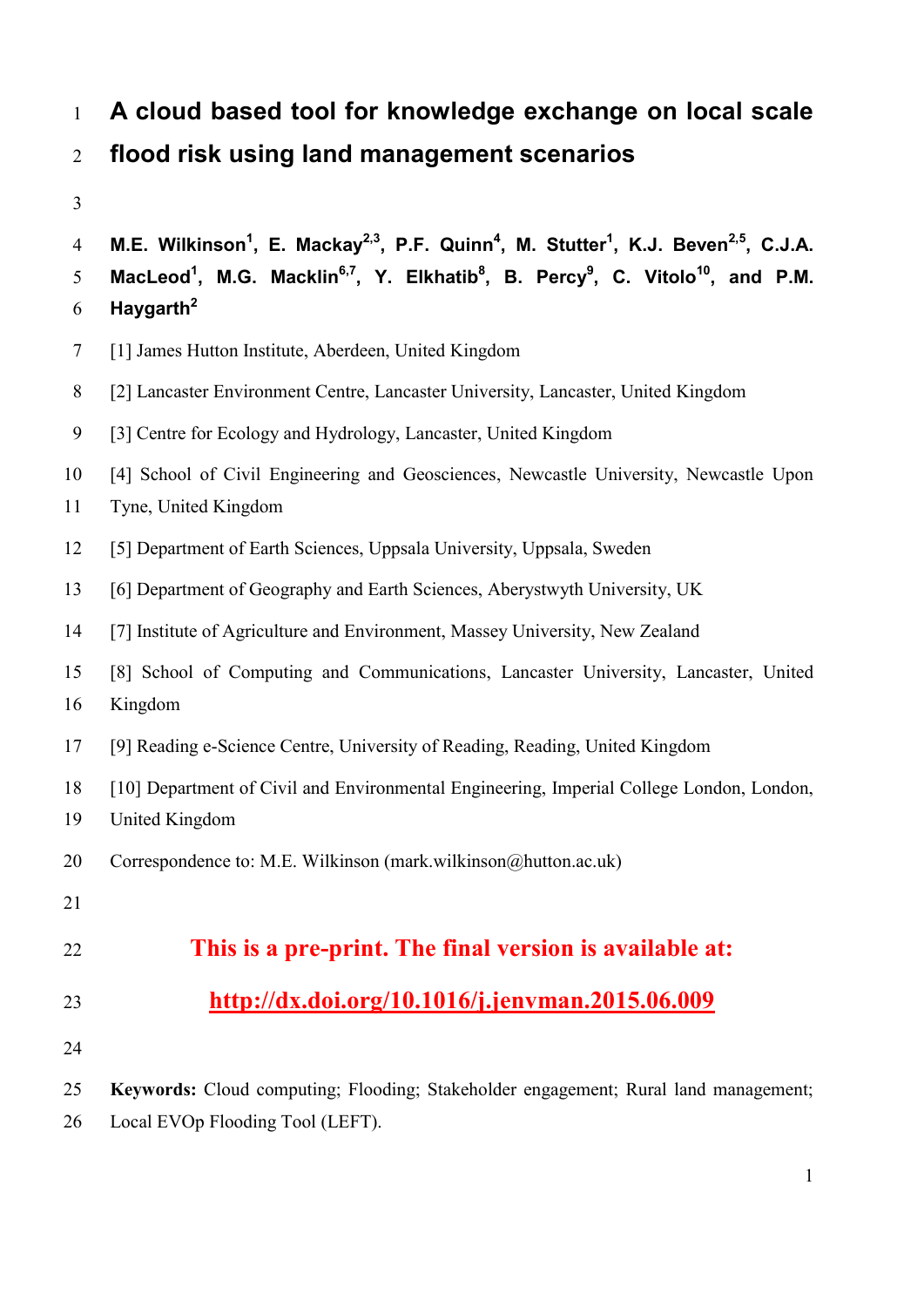# **A cloud based tool for knowledge exchange on local scale flood risk using land management scenarios**

```
M.E. Wilkinson1
, E. Mackay2,3, P.F. Quinn4
, M. Stutter1
, K.J. Beven2,5 4 , C.J.A.
MacLeod1
, M.G. Macklin6,7, Y. Elkhatib8
, B. Percy9
, C. Vitolo10 5 , and P.M. 
    Haygarth2
6
```
- [1] James Hutton Institute, Aberdeen, United Kingdom
- [2] Lancaster Environment Centre, Lancaster University, Lancaster, United Kingdom
- [3] Centre for Ecology and Hydrology, Lancaster, United Kingdom
- [4] School of Civil Engineering and Geosciences, Newcastle University, Newcastle Upon
- Tyne, United Kingdom
- [5] Department of Earth Sciences, Uppsala University, Uppsala, Sweden
- [6] Department of Geography and Earth Sciences, Aberystwyth University, UK
- [7] Institute of Agriculture and Environment, Massey University, New Zealand
- [8] School of Computing and Communications, Lancaster University, Lancaster, United
- Kingdom
- [9] Reading e-Science Centre, University of Reading, Reading, United Kingdom
- [10] Department of Civil and Environmental Engineering, Imperial College London, London,
- United Kingdom
- 20 Correspondence to: M.E. Wilkinson (mark.wilkinson@hutton.ac.uk)
- 

# **This is a pre-print. The final version is available at:**

- **<http://dx.doi.org/10.1016/j.jenvman.2015.06.009>**
- 

 **Keywords:** Cloud computing; Flooding; Stakeholder engagement; Rural land management; Local EVOp Flooding Tool (LEFT).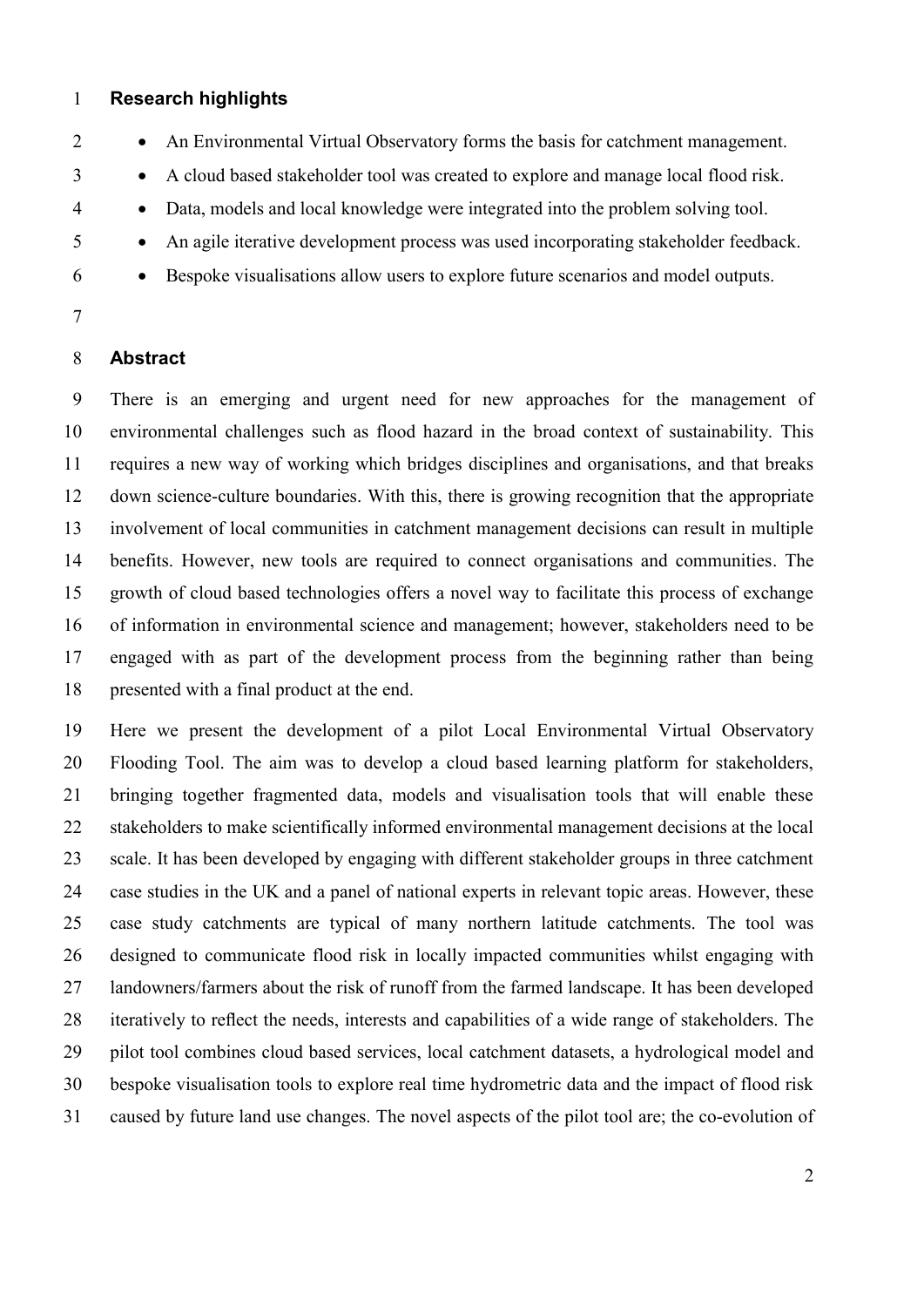# **Research highlights**

- 2 An Environmental Virtual Observatory forms the basis for catchment management.
- <sup>3</sup> A cloud based stakeholder tool was created to explore and manage local flood risk.
- Data, models and local knowledge were integrated into the problem solving tool.
- An agile iterative development process was used incorporating stakeholder feedback.
- Bespoke visualisations allow users to explore future scenarios and model outputs.
- 

# **Abstract**

 There is an emerging and urgent need for new approaches for the management of environmental challenges such as flood hazard in the broad context of sustainability. This requires a new way of working which bridges disciplines and organisations, and that breaks down science-culture boundaries. With this, there is growing recognition that the appropriate involvement of local communities in catchment management decisions can result in multiple benefits. However, new tools are required to connect organisations and communities. The growth of cloud based technologies offers a novel way to facilitate this process of exchange of information in environmental science and management; however, stakeholders need to be engaged with as part of the development process from the beginning rather than being 18 presented with a final product at the end.

 Here we present the development of a pilot Local Environmental Virtual Observatory Flooding Tool. The aim was to develop a cloud based learning platform for stakeholders, bringing together fragmented data, models and visualisation tools that will enable these stakeholders to make scientifically informed environmental management decisions at the local scale. It has been developed by engaging with different stakeholder groups in three catchment case studies in the UK and a panel of national experts in relevant topic areas. However, these case study catchments are typical of many northern latitude catchments. The tool was designed to communicate flood risk in locally impacted communities whilst engaging with landowners/farmers about the risk of runoff from the farmed landscape. It has been developed iteratively to reflect the needs, interests and capabilities of a wide range of stakeholders. The pilot tool combines cloud based services, local catchment datasets, a hydrological model and bespoke visualisation tools to explore real time hydrometric data and the impact of flood risk caused by future land use changes. The novel aspects of the pilot tool are; the co-evolution of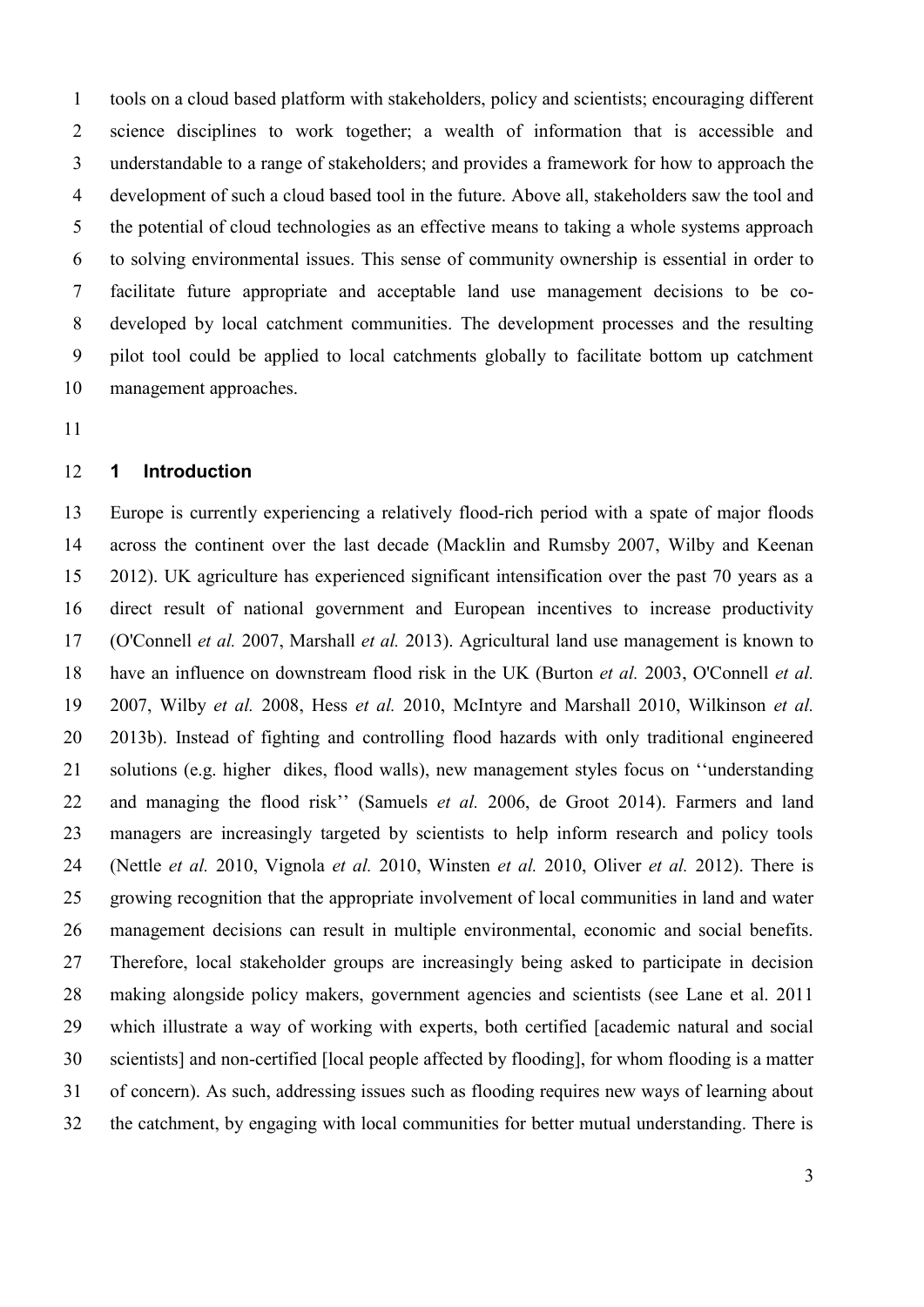tools on a cloud based platform with stakeholders, policy and scientists; encouraging different science disciplines to work together; a wealth of information that is accessible and understandable to a range of stakeholders; and provides a framework for how to approach the development of such a cloud based tool in the future. Above all, stakeholders saw the tool and the potential of cloud technologies as an effective means to taking a whole systems approach to solving environmental issues. This sense of community ownership is essential in order to facilitate future appropriate and acceptable land use management decisions to be co- developed by local catchment communities. The development processes and the resulting pilot tool could be applied to local catchments globally to facilitate bottom up catchment management approaches.

# **1 Introduction**

 Europe is currently experiencing a relatively flood-rich period with a spate of major floods across the continent over the last decade [\(Macklin and Rumsby 2007,](#page-24-0) [Wilby and Keenan](#page-26-0)  [2012\)](#page-26-0). UK agriculture has experienced significant intensification over the past 70 years as a direct result of national government and European incentives to increase productivity [\(O'Connell](#page-25-0) *et al.* 2007, [Marshall](#page-24-1) *et al.* 2013). Agricultural land use management is known to have an influence on downstream flood risk in the UK [\(Burton](#page-22-0) *et al.* 2003, [O'Connell](#page-25-0) *et al.* [2007,](#page-25-0) [Wilby](#page-26-1) *et al.* 2008, [Hess](#page-24-2) *et al.* 2010, [McIntyre and Marshall 2010,](#page-24-3) [Wilkinson](#page-26-2) *et al.* [2013b\)](#page-26-2). Instead of fighting and controlling flood hazards with only traditional engineered solutions (e.g. higher dikes, flood walls), new management styles focus on ''understanding and managing the flood risk'' [\(Samuels](#page-25-1) *et al.* 2006, [de Groot 2014\)](#page-22-1). Farmers and land managers are increasingly targeted by scientists to help inform research and policy tools [\(Nettle](#page-25-2) *et al.* 2010, [Vignola](#page-26-3) *et al.* 2010, [Winsten](#page-26-4) *et al.* 2010, [Oliver](#page-25-3) *et al.* 2012). There is growing recognition that the appropriate involvement of local communities in land and water management decisions can result in multiple environmental, economic and social benefits. Therefore, local stakeholder groups are increasingly being asked to participate in decision making alongside policy makers, government agencies and scientists (see Lane et al. 2011 which illustrate a way of working with experts, both certified [academic natural and social scientists] and non-certified [local people affected by flooding], for whom flooding is a matter of concern). As such, addressing issues such as flooding requires new ways of learning about the catchment, by engaging with local communities for better mutual understanding. There is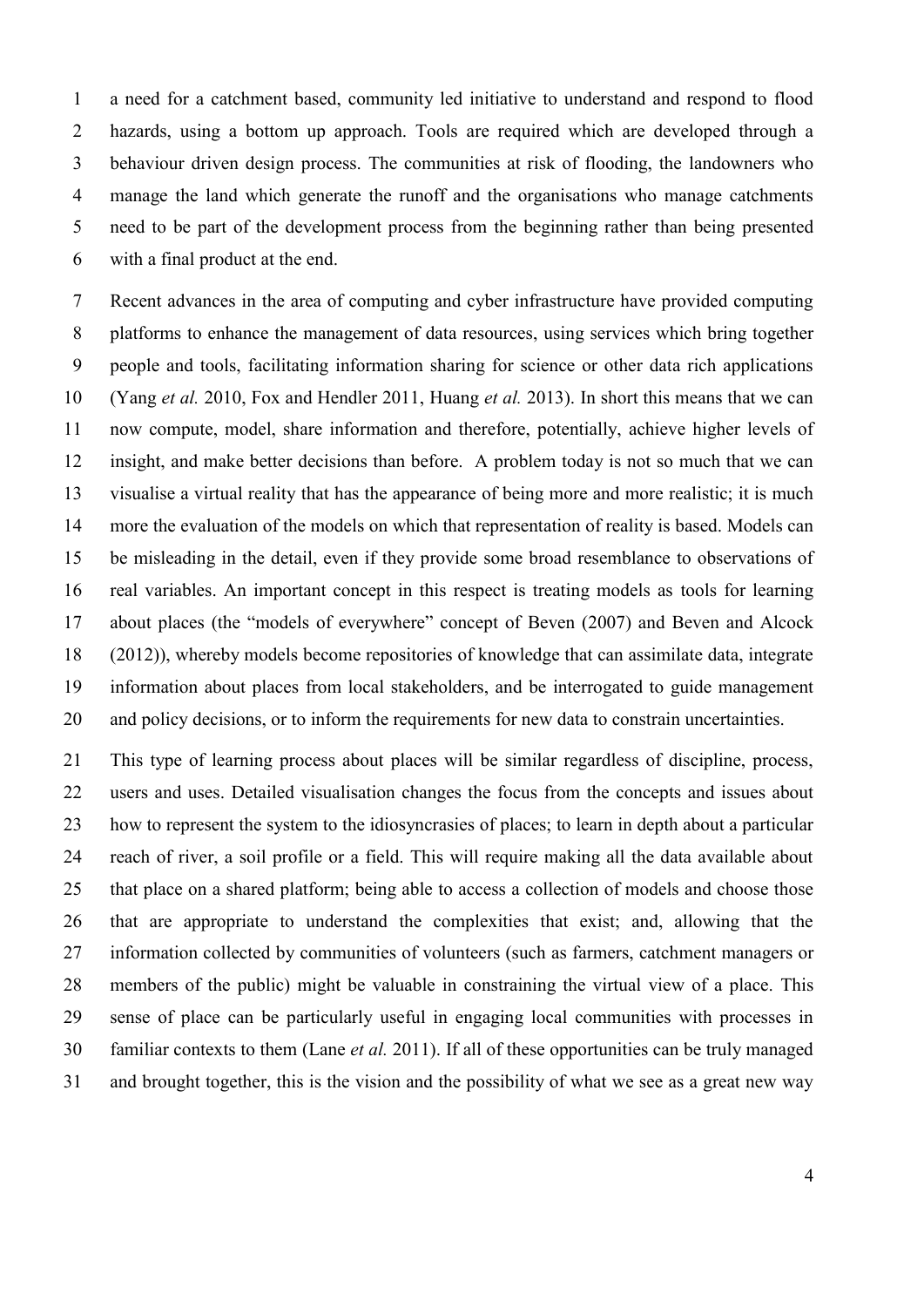a need for a catchment based, community led initiative to understand and respond to flood hazards, using a bottom up approach. Tools are required which are developed through a behaviour driven design process. The communities at risk of flooding, the landowners who manage the land which generate the runoff and the organisations who manage catchments need to be part of the development process from the beginning rather than being presented with a final product at the end.

 Recent advances in the area of computing and cyber infrastructure have provided computing platforms to enhance the management of data resources, using services which bring together people and tools, facilitating information sharing for science or other data rich applications [\(Yang](#page-26-5) *et al.* 2010, [Fox and Hendler 2011,](#page-23-0) [Huang](#page-24-4) *et al.* 2013). In short this means that we can now compute, model, share information and therefore, potentially, achieve higher levels of insight, and make better decisions than before. A problem today is not so much that we can visualise a virtual reality that has the appearance of being more and more realistic; it is much more the evaluation of the models on which that representation of reality is based. Models can be misleading in the detail, even if they provide some broad resemblance to observations of real variables. An important concept in this respect is treating models as tools for learning about places (the "models of everywhere" concept of [Beven \(2007\)](#page-22-2) and [Beven and Alcock](#page-22-3)  [\(2012\)](#page-22-3)), whereby models become repositories of knowledge that can assimilate data, integrate information about places from local stakeholders, and be interrogated to guide management and policy decisions, or to inform the requirements for new data to constrain uncertainties.

 This type of learning process about places will be similar regardless of discipline, process, users and uses. Detailed visualisation changes the focus from the concepts and issues about how to represent the system to the idiosyncrasies of places; to learn in depth about a particular reach of river, a soil profile or a field. This will require making all the data available about that place on a shared platform; being able to access a collection of models and choose those that are appropriate to understand the complexities that exist; and, allowing that the information collected by communities of volunteers (such as farmers, catchment managers or members of the public) might be valuable in constraining the virtual view of a place. This sense of place can be particularly useful in engaging local communities with processes in familiar contexts to them (Lane *et al.* [2011\)](#page-24-5). If all of these opportunities can be truly managed and brought together, this is the vision and the possibility of what we see as a great new way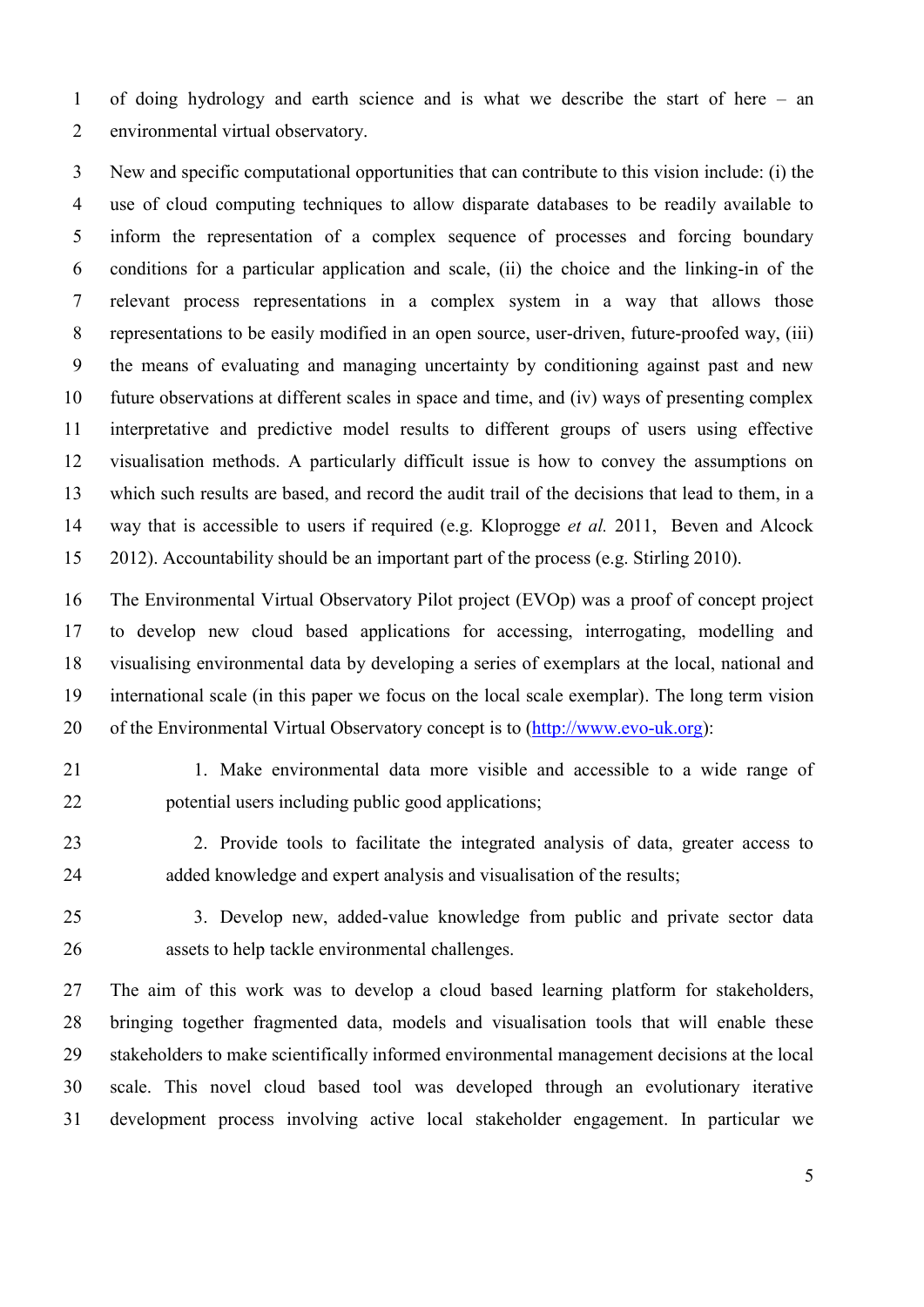of doing hydrology and earth science and is what we describe the start of here – an environmental virtual observatory.

 New and specific computational opportunities that can contribute to this vision include: (i) the use of cloud computing techniques to allow disparate databases to be readily available to inform the representation of a complex sequence of processes and forcing boundary conditions for a particular application and scale, (ii) the choice and the linking-in of the relevant process representations in a complex system in a way that allows those representations to be easily modified in an open source, user-driven, future-proofed way, (iii) the means of evaluating and managing uncertainty by conditioning against past and new future observations at different scales in space and time, and (iv) ways of presenting complex interpretative and predictive model results to different groups of users using effective visualisation methods. A particularly difficult issue is how to convey the assumptions on which such results are based, and record the audit trail of the decisions that lead to them, in a way that is accessible to users if required (e.g. Kloprogge *et al.* 2011, Beven and Alcock 2012). Accountability should be an important part of the process (e.g. [Stirling 2010\)](#page-25-1).

 The Environmental Virtual Observatory Pilot project (EVOp) was a proof of concept project to develop new cloud based applications for accessing, interrogating, modelling and visualising environmental data by developing a series of exemplars at the local, national and international scale (in this paper we focus on the local scale exemplar). The long term vision of the Environmental Virtual Observatory concept is to [\(http://www.evo-uk.org\)](http://www.evo-uk.org/):

 1. Make environmental data more visible and accessible to a wide range of potential users including public good applications;

 2. Provide tools to facilitate the integrated analysis of data, greater access to 24 added knowledge and expert analysis and visualisation of the results;

 3. Develop new, added-value knowledge from public and private sector data assets to help tackle environmental challenges.

 The aim of this work was to develop a cloud based learning platform for stakeholders, bringing together fragmented data, models and visualisation tools that will enable these stakeholders to make scientifically informed environmental management decisions at the local scale. This novel cloud based tool was developed through an evolutionary iterative development process involving active local stakeholder engagement. In particular we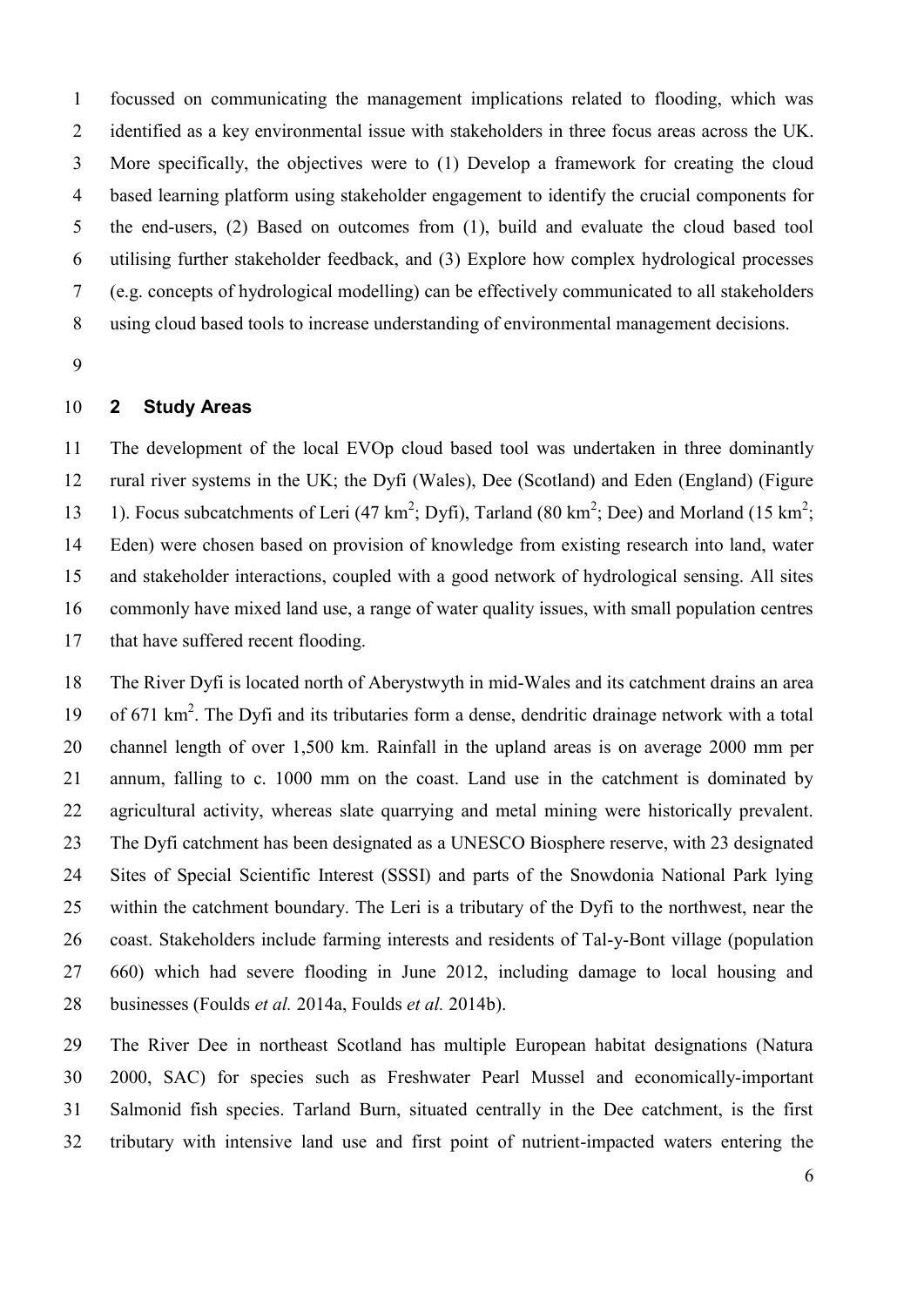focussed on communicating the management implications related to flooding, which was identified as a key environmental issue with stakeholders in three focus areas across the UK. More specifically, the objectives were to (1) Develop a framework for creating the cloud based learning platform using stakeholder engagement to identify the crucial components for the end-users, (2) Based on outcomes from (1), build and evaluate the cloud based tool utilising further stakeholder feedback, and (3) Explore how complex hydrological processes (e.g. concepts of hydrological modelling) can be effectively communicated to all stakeholders using cloud based tools to increase understanding of environmental management decisions.

# **2 Study Areas**

 The development of the local EVOp cloud based tool was undertaken in three dominantly rural river systems in the UK; the Dyfi (Wales), Dee (Scotland) and Eden (England) (Figure 13 1). Focus subcatchments of Leri (47 km<sup>2</sup>; Dyfi), Tarland (80 km<sup>2</sup>; Dee) and Morland (15 km<sup>2</sup>; Eden) were chosen based on provision of knowledge from existing research into land, water and stakeholder interactions, coupled with a good network of hydrological sensing. All sites commonly have mixed land use, a range of water quality issues, with small population centres that have suffered recent flooding.

 The River Dyfi is located north of Aberystwyth in mid-Wales and its catchment drains an area 19 of 671 km<sup>2</sup>. The Dyfi and its tributaries form a dense, dendritic drainage network with a total channel length of over 1,500 km. Rainfall in the upland areas is on average 2000 mm per annum, falling to c. 1000 mm on the coast. Land use in the catchment is dominated by agricultural activity, whereas slate quarrying and metal mining were historically prevalent. The Dyfi catchment has been designated as a UNESCO Biosphere reserve, with 23 designated Sites of Special Scientific Interest (SSSI) and parts of the Snowdonia National Park lying within the catchment boundary. The Leri is a tributary of the Dyfi to the northwest, near the coast. Stakeholders include farming interests and residents of Tal-y-Bont village (population 660) which had severe flooding in June 2012, including damage to local housing and businesses [\(Foulds](#page-23-1) *et al.* 2014a, [Foulds](#page-23-2) *et al.* 2014b).

 The River Dee in northeast Scotland has multiple European habitat designations (Natura 2000, SAC) for species such as Freshwater Pearl Mussel and economically-important Salmonid fish species. Tarland Burn, situated centrally in the Dee catchment, is the first tributary with intensive land use and first point of nutrient-impacted waters entering the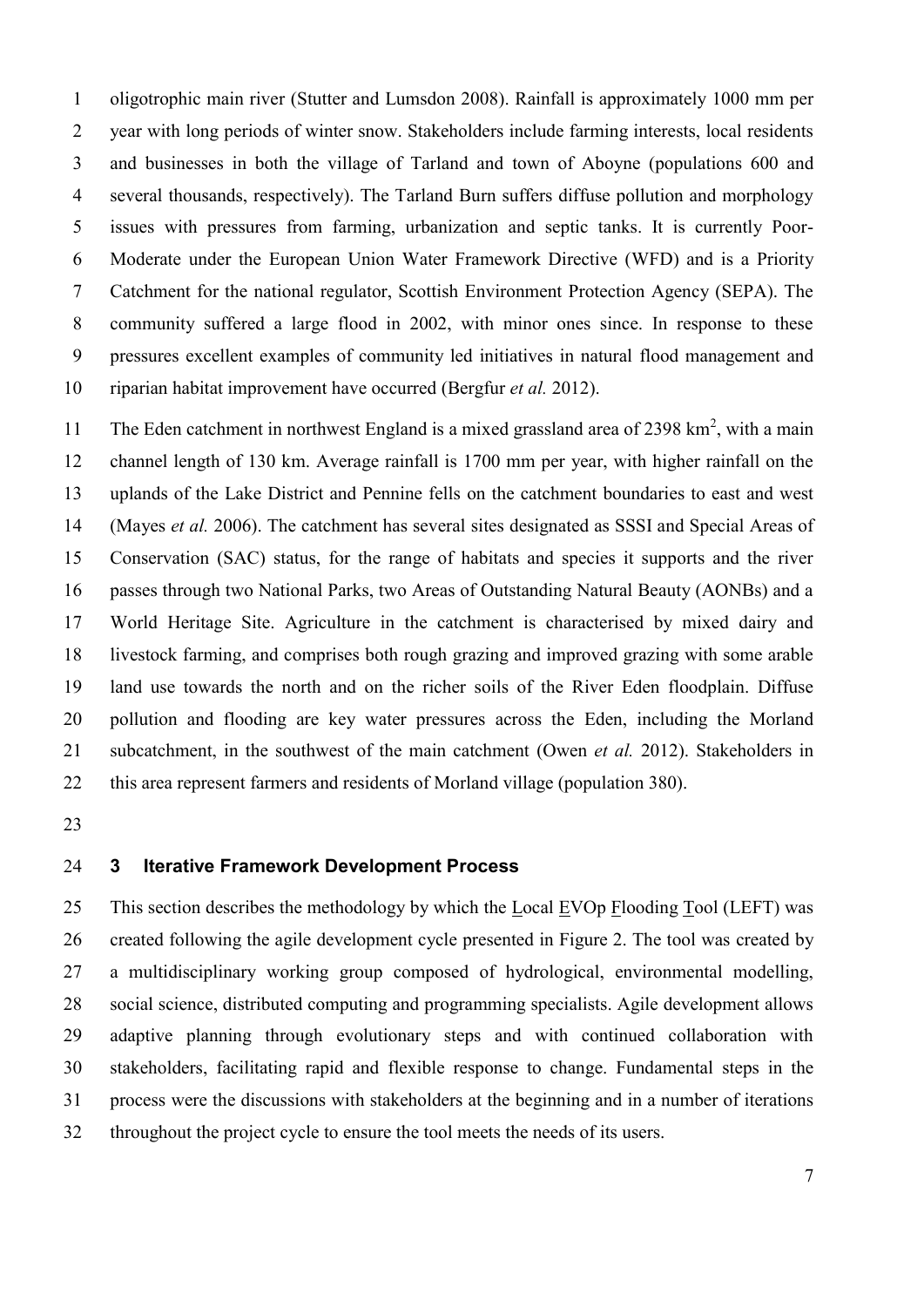oligotrophic main river [\(Stutter and Lumsdon 2008\)](#page-26-6). Rainfall is approximately 1000 mm per year with long periods of winter snow. Stakeholders include farming interests, local residents and businesses in both the village of Tarland and town of Aboyne (populations 600 and several thousands, respectively). The Tarland Burn suffers diffuse pollution and morphology issues with pressures from farming, urbanization and septic tanks. It is currently Poor- Moderate under the European Union Water Framework Directive (WFD) and is a Priority Catchment for the national regulator, Scottish Environment Protection Agency (SEPA). The community suffered a large flood in 2002, with minor ones since. In response to these pressures excellent examples of community led initiatives in natural flood management and riparian habitat improvement have occurred [\(Bergfur](#page-22-4) *et al.* 2012).

11 The Eden catchment in northwest England is a mixed grassland area of 2398  $\text{km}^2$ , with a main channel length of 130 km. Average rainfall is 1700 mm per year, with higher rainfall on the uplands of the Lake District and Pennine fells on the catchment boundaries to east and west [\(Mayes](#page-24-6) *et al.* 2006). The catchment has several sites designated as SSSI and Special Areas of Conservation (SAC) status, for the range of habitats and species it supports and the river passes through two National Parks, two Areas of Outstanding Natural Beauty (AONBs) and a World Heritage Site. Agriculture in the catchment is characterised by mixed dairy and livestock farming, and comprises both rough grazing and improved grazing with some arable land use towards the north and on the richer soils of the River Eden floodplain. Diffuse pollution and flooding are key water pressures across the Eden, including the Morland subcatchment, in the southwest of the main catchment [\(Owen](#page-25-4) *et al.* 2012). Stakeholders in this area represent farmers and residents of Morland village (population 380).

# **3 Iterative Framework Development Process**

 This section describes the methodology by which the Local EVOp Flooding Tool (LEFT) was created following the agile development cycle presented in Figure 2. The tool was created by a multidisciplinary working group composed of hydrological, environmental modelling, social science, distributed computing and programming specialists. Agile development allows adaptive planning through evolutionary steps and with continued collaboration with stakeholders, facilitating rapid and flexible response to change. Fundamental steps in the process were the discussions with stakeholders at the beginning and in a number of iterations throughout the project cycle to ensure the tool meets the needs of its users.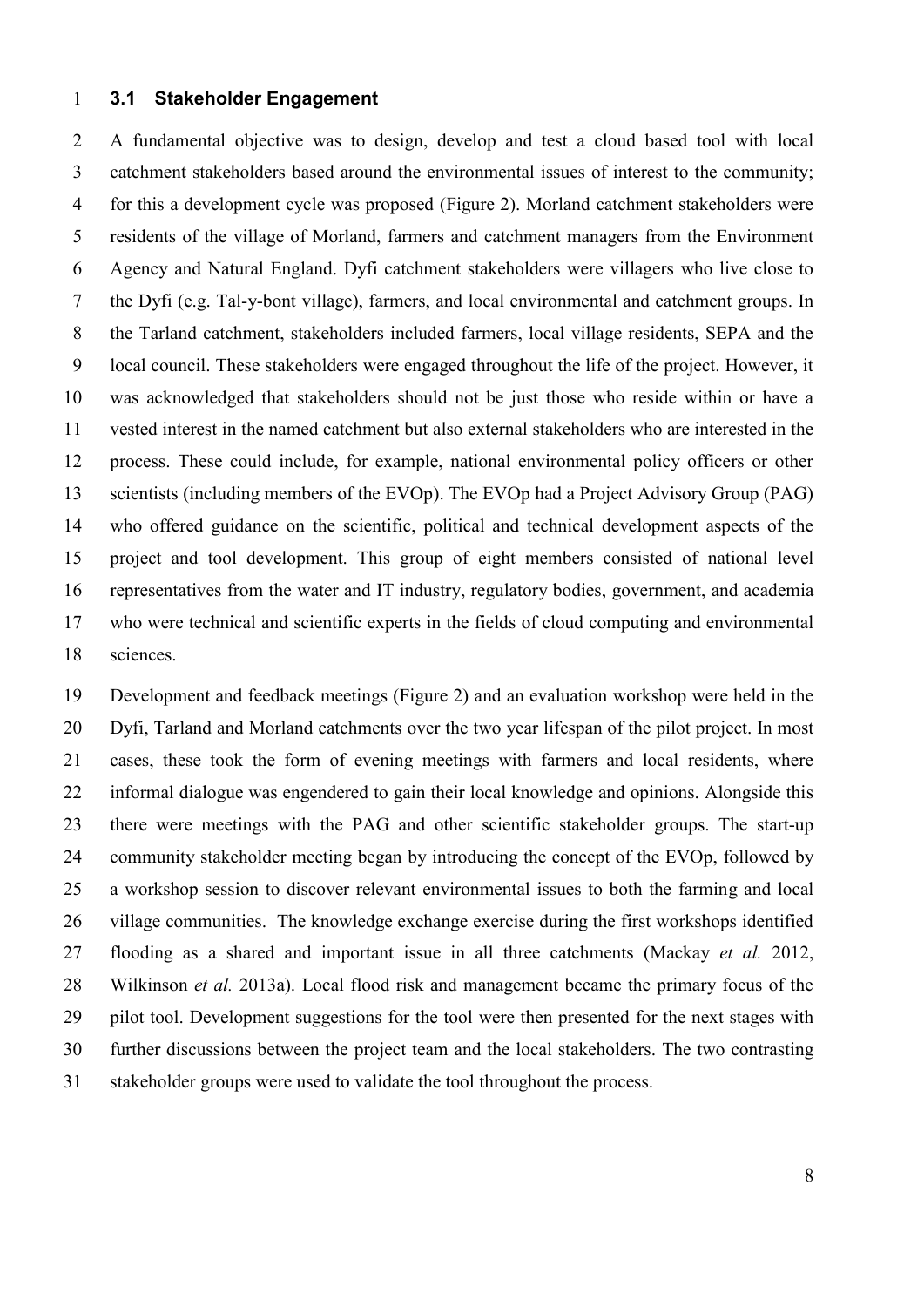# **3.1 Stakeholder Engagement**

 A fundamental objective was to design, develop and test a cloud based tool with local catchment stakeholders based around the environmental issues of interest to the community; for this a development cycle was proposed (Figure 2). Morland catchment stakeholders were residents of the village of Morland, farmers and catchment managers from the Environment Agency and Natural England. Dyfi catchment stakeholders were villagers who live close to the Dyfi (e.g. Tal-y-bont village), farmers, and local environmental and catchment groups. In the Tarland catchment, stakeholders included farmers, local village residents, SEPA and the local council. These stakeholders were engaged throughout the life of the project. However, it was acknowledged that stakeholders should not be just those who reside within or have a vested interest in the named catchment but also external stakeholders who are interested in the process. These could include, for example, national environmental policy officers or other scientists (including members of the EVOp). The EVOp had a Project Advisory Group (PAG) who offered guidance on the scientific, political and technical development aspects of the project and tool development. This group of eight members consisted of national level representatives from the water and IT industry, regulatory bodies, government, and academia who were technical and scientific experts in the fields of cloud computing and environmental sciences.

 Development and feedback meetings (Figure 2) and an evaluation workshop were held in the Dyfi, Tarland and Morland catchments over the two year lifespan of the pilot project. In most cases, these took the form of evening meetings with farmers and local residents, where informal dialogue was engendered to gain their local knowledge and opinions. Alongside this there were meetings with the PAG and other scientific stakeholder groups. The start-up community stakeholder meeting began by introducing the concept of the EVOp, followed by a workshop session to discover relevant environmental issues to both the farming and local village communities. The knowledge exchange exercise during the first workshops identified flooding as a shared and important issue in all three catchments [\(Mackay](#page-24-7) *et al.* 2012, [Wilkinson](#page-26-7) *et al.* 2013a). Local flood risk and management became the primary focus of the pilot tool. Development suggestions for the tool were then presented for the next stages with further discussions between the project team and the local stakeholders. The two contrasting stakeholder groups were used to validate the tool throughout the process.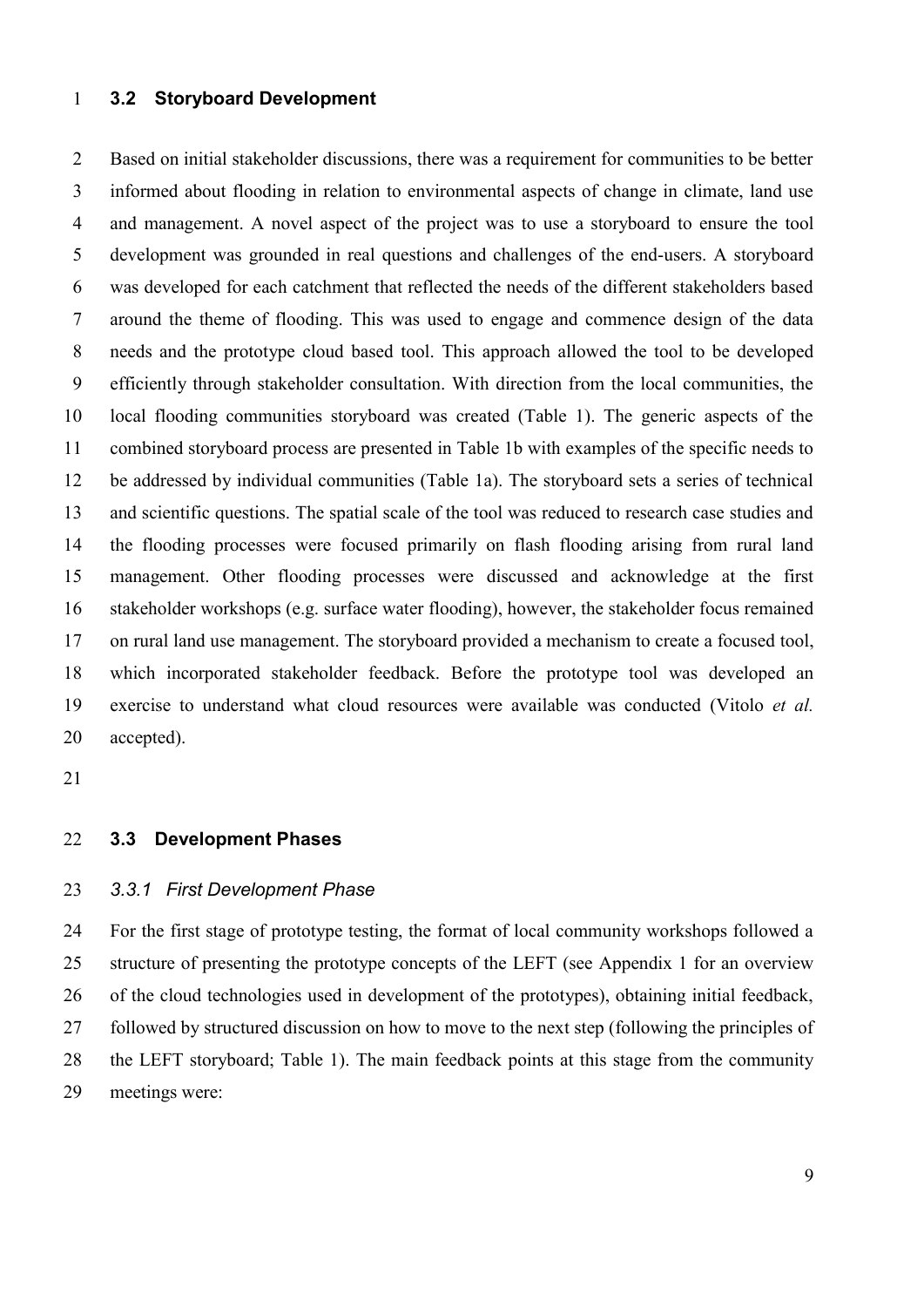# **3.2 Storyboard Development**

 Based on initial stakeholder discussions, there was a requirement for communities to be better informed about flooding in relation to environmental aspects of change in climate, land use and management. A novel aspect of the project was to use a storyboard to ensure the tool development was grounded in real questions and challenges of the end-users. A storyboard was developed for each catchment that reflected the needs of the different stakeholders based around the theme of flooding. This was used to engage and commence design of the data needs and the prototype cloud based tool. This approach allowed the tool to be developed efficiently through stakeholder consultation. With direction from the local communities, the local flooding communities storyboard was created (Table 1). The generic aspects of the combined storyboard process are presented in Table 1b with examples of the specific needs to be addressed by individual communities (Table 1a). The storyboard sets a series of technical and scientific questions. The spatial scale of the tool was reduced to research case studies and the flooding processes were focused primarily on flash flooding arising from rural land management. Other flooding processes were discussed and acknowledge at the first stakeholder workshops (e.g. surface water flooding), however, the stakeholder focus remained on rural land use management. The storyboard provided a mechanism to create a focused tool, which incorporated stakeholder feedback. Before the prototype tool was developed an exercise to understand what cloud resources were available was conducted [\(Vitolo](#page-26-8) *et al.* [accepted\)](#page-26-8).

### **3.3 Development Phases**

# *3.3.1 First Development Phase*

 For the first stage of prototype testing, the format of local community workshops followed a structure of presenting the prototype concepts of the LEFT (see Appendix 1 for an overview of the cloud technologies used in development of the prototypes), obtaining initial feedback, followed by structured discussion on how to move to the next step (following the principles of the LEFT storyboard; Table 1). The main feedback points at this stage from the community meetings were: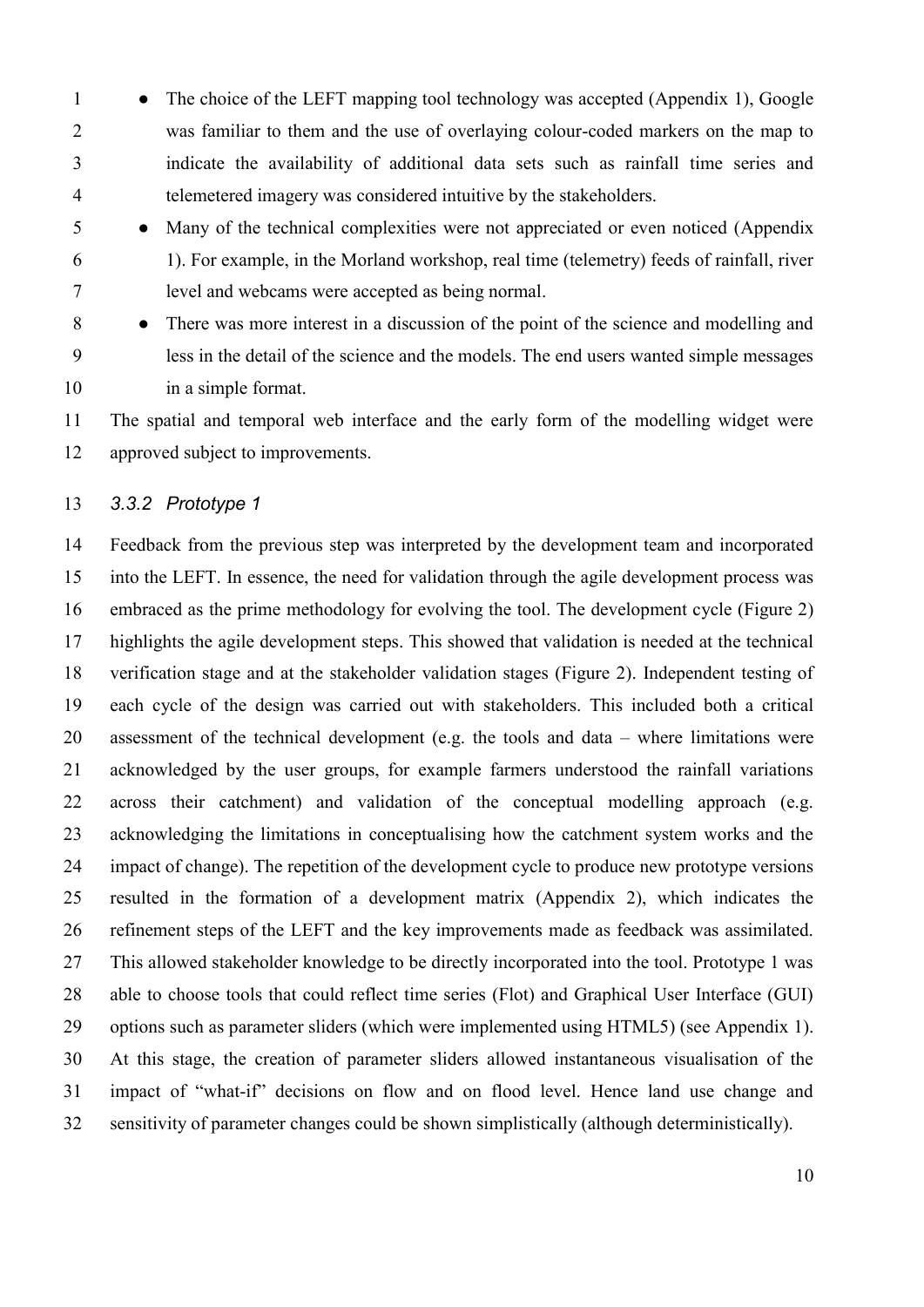- 1 The choice of the LEFT mapping tool technology was accepted (Appendix 1), Google was familiar to them and the use of overlaying colour-coded markers on the map to indicate the availability of additional data sets such as rainfall time series and telemetered imagery was considered intuitive by the stakeholders.
- Many of the technical complexities were not appreciated or even noticed (Appendix 1). For example, in the Morland workshop, real time (telemetry) feeds of rainfall, river level and webcams were accepted as being normal.
- 8 There was more interest in a discussion of the point of the science and modelling and less in the detail of the science and the models. The end users wanted simple messages in a simple format.

 The spatial and temporal web interface and the early form of the modelling widget were approved subject to improvements.

# *3.3.2 Prototype 1*

 Feedback from the previous step was interpreted by the development team and incorporated into the LEFT. In essence, the need for validation through the agile development process was embraced as the prime methodology for evolving the tool. The development cycle (Figure 2) highlights the agile development steps. This showed that validation is needed at the technical verification stage and at the stakeholder validation stages (Figure 2). Independent testing of each cycle of the design was carried out with stakeholders. This included both a critical assessment of the technical development (e.g. the tools and data – where limitations were acknowledged by the user groups, for example farmers understood the rainfall variations across their catchment) and validation of the conceptual modelling approach (e.g. acknowledging the limitations in conceptualising how the catchment system works and the impact of change). The repetition of the development cycle to produce new prototype versions resulted in the formation of a development matrix (Appendix 2), which indicates the refinement steps of the LEFT and the key improvements made as feedback was assimilated. This allowed stakeholder knowledge to be directly incorporated into the tool. Prototype 1 was able to choose tools that could reflect time series (Flot) and Graphical User Interface (GUI) options such as parameter sliders (which were implemented using HTML5) (see Appendix 1). At this stage, the creation of parameter sliders allowed instantaneous visualisation of the impact of "what-if" decisions on flow and on flood level. Hence land use change and sensitivity of parameter changes could be shown simplistically (although deterministically).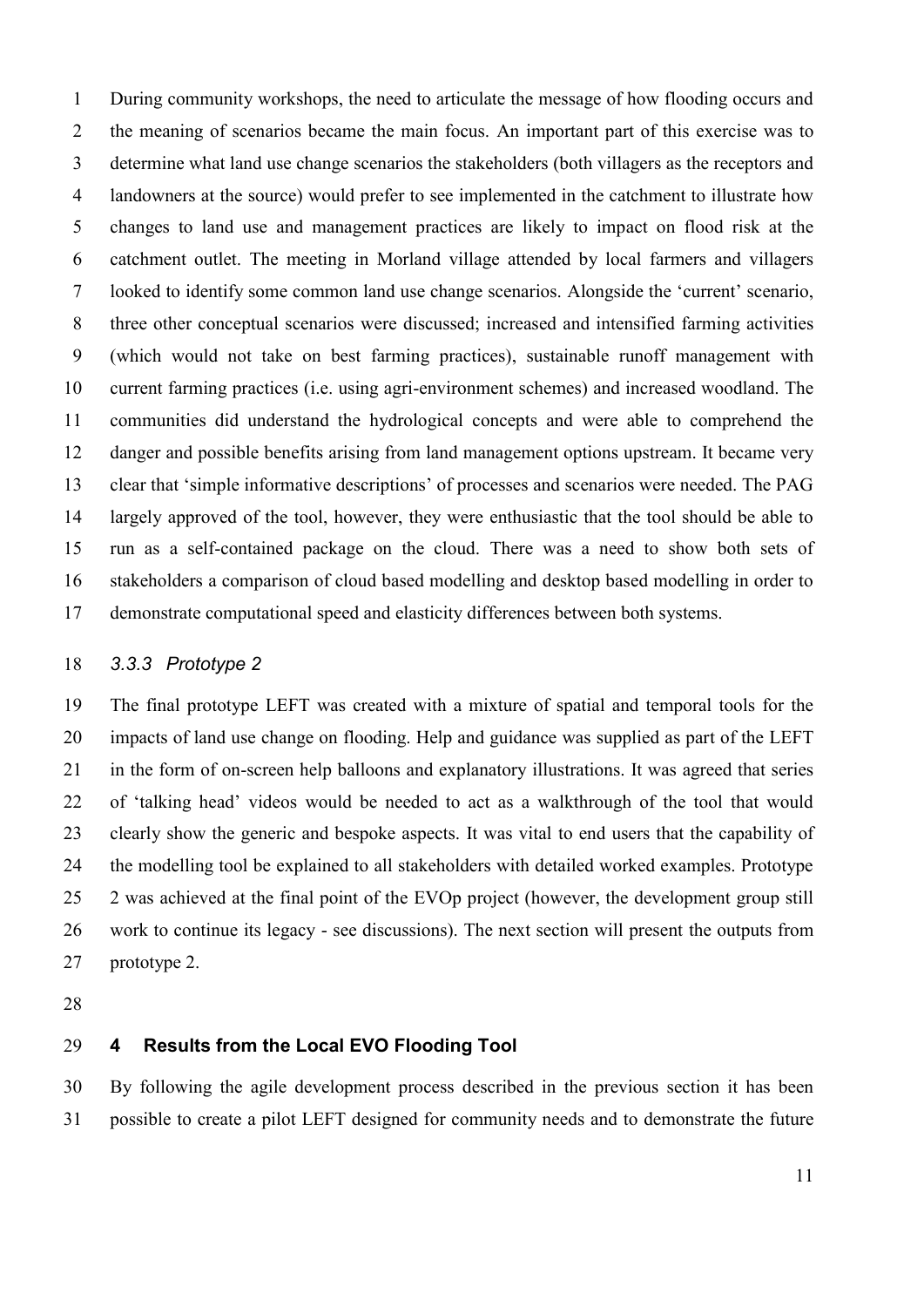During community workshops, the need to articulate the message of how flooding occurs and the meaning of scenarios became the main focus. An important part of this exercise was to determine what land use change scenarios the stakeholders (both villagers as the receptors and landowners at the source) would prefer to see implemented in the catchment to illustrate how changes to land use and management practices are likely to impact on flood risk at the catchment outlet. The meeting in Morland village attended by local farmers and villagers looked to identify some common land use change scenarios. Alongside the 'current' scenario, three other conceptual scenarios were discussed; increased and intensified farming activities (which would not take on best farming practices), sustainable runoff management with current farming practices (i.e. using agri-environment schemes) and increased woodland. The communities did understand the hydrological concepts and were able to comprehend the danger and possible benefits arising from land management options upstream. It became very clear that 'simple informative descriptions' of processes and scenarios were needed. The PAG largely approved of the tool, however, they were enthusiastic that the tool should be able to run as a self-contained package on the cloud. There was a need to show both sets of stakeholders a comparison of cloud based modelling and desktop based modelling in order to demonstrate computational speed and elasticity differences between both systems.

# *3.3.3 Prototype 2*

 The final prototype LEFT was created with a mixture of spatial and temporal tools for the impacts of land use change on flooding. Help and guidance was supplied as part of the LEFT in the form of on-screen help balloons and explanatory illustrations. It was agreed that series of 'talking head' videos would be needed to act as a walkthrough of the tool that would clearly show the generic and bespoke aspects. It was vital to end users that the capability of the modelling tool be explained to all stakeholders with detailed worked examples. Prototype 2 was achieved at the final point of the EVOp project (however, the development group still work to continue its legacy - see discussions). The next section will present the outputs from prototype 2.

# **4 Results from the Local EVO Flooding Tool**

 By following the agile development process described in the previous section it has been possible to create a pilot LEFT designed for community needs and to demonstrate the future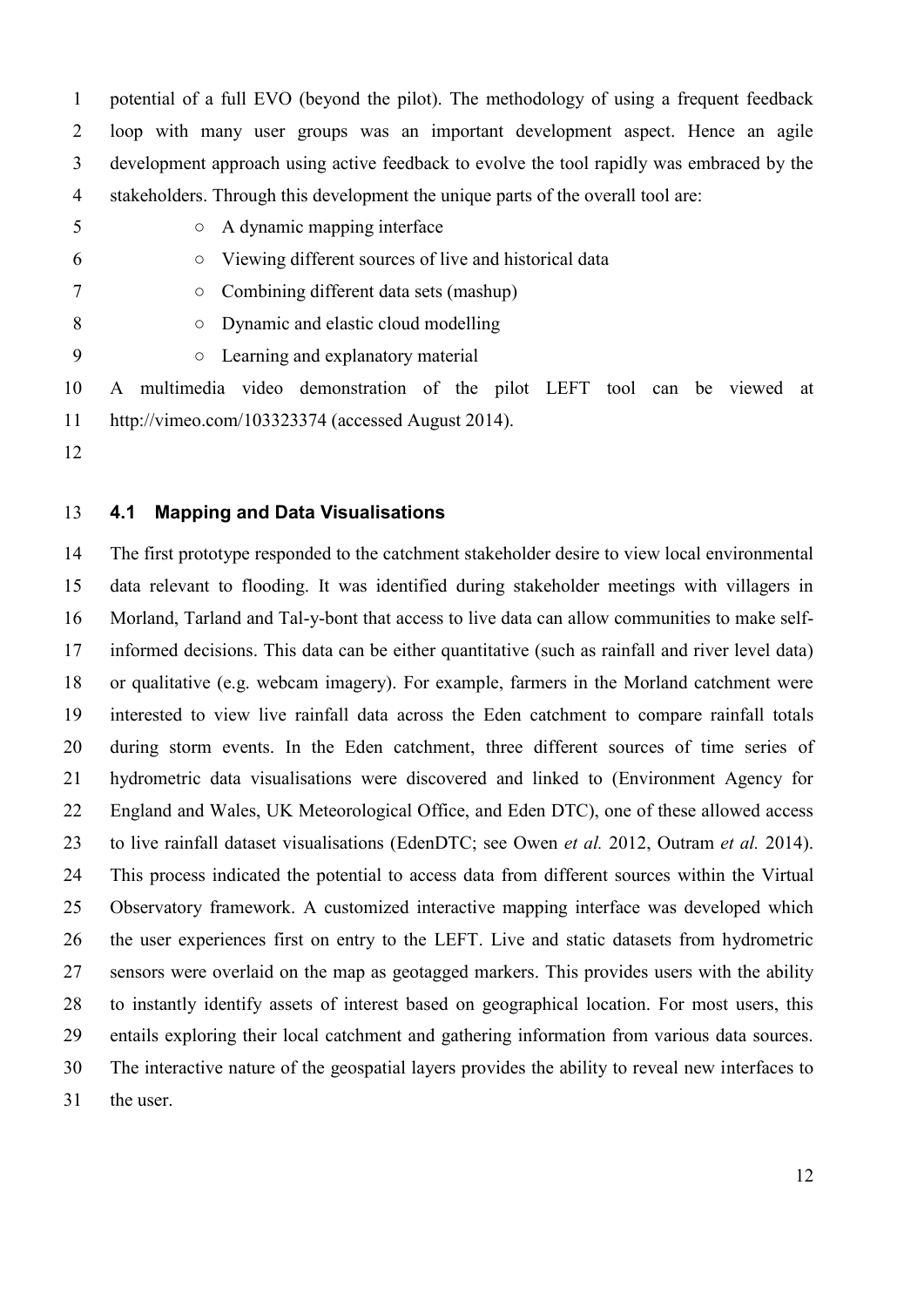potential of a full EVO (beyond the pilot). The methodology of using a frequent feedback loop with many user groups was an important development aspect. Hence an agile development approach using active feedback to evolve the tool rapidly was embraced by the stakeholders. Through this development the unique parts of the overall tool are:

5  $\circ$  A dynamic mapping interface

- Viewing different sources of live and historical data
- Combining different data sets (mashup)
- 8 Dynamic and elastic cloud modelling
- **Dearning and explanatory material**

 A multimedia video demonstration of the pilot LEFT tool can be viewed at http://vimeo.com/103323374 (accessed August 2014).

# **4.1 Mapping and Data Visualisations**

 The first prototype responded to the catchment stakeholder desire to view local environmental data relevant to flooding. It was identified during stakeholder meetings with villagers in Morland, Tarland and Tal-y-bont that access to live data can allow communities to make self- informed decisions. This data can be either quantitative (such as rainfall and river level data) or qualitative (e.g. webcam imagery). For example, farmers in the Morland catchment were interested to view live rainfall data across the Eden catchment to compare rainfall totals during storm events. In the Eden catchment, three different sources of time series of hydrometric data visualisations were discovered and linked to (Environment Agency for England and Wales, UK Meteorological Office, and Eden DTC), one of these allowed access to live rainfall dataset visualisations (EdenDTC; see [Owen](#page-25-3) *et al.* 2012, [Outram](#page-25-5) *et al.* 2014). This process indicated the potential to access data from different sources within the Virtual Observatory framework. A customized interactive mapping interface was developed which the user experiences first on entry to the LEFT. Live and static datasets from hydrometric sensors were overlaid on the map as geotagged markers. This provides users with the ability to instantly identify assets of interest based on geographical location. For most users, this entails exploring their local catchment and gathering information from various data sources. The interactive nature of the geospatial layers provides the ability to reveal new interfaces to the user.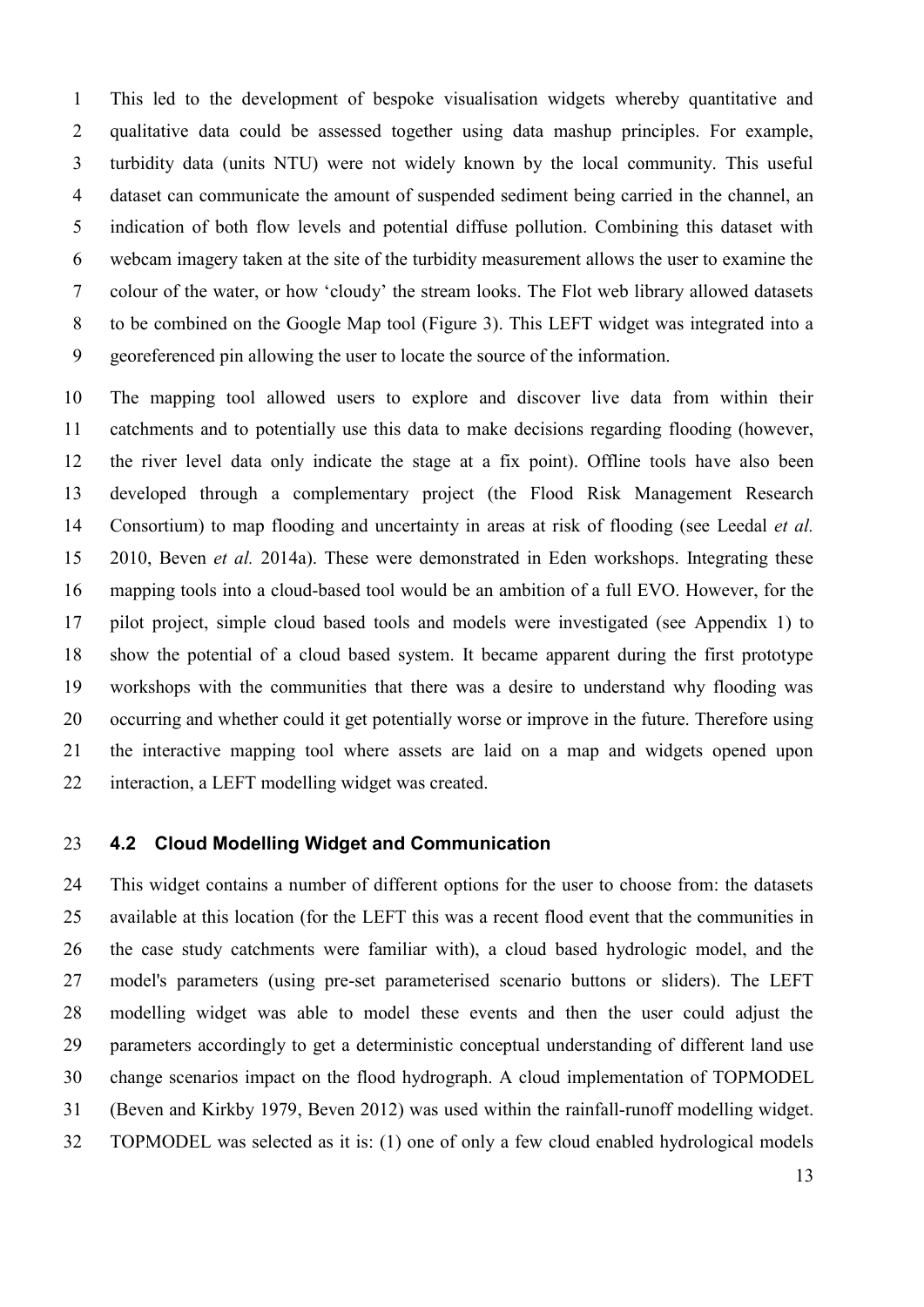This led to the development of bespoke visualisation widgets whereby quantitative and qualitative data could be assessed together using data mashup principles. For example, turbidity data (units NTU) were not widely known by the local community. This useful dataset can communicate the amount of suspended sediment being carried in the channel, an indication of both flow levels and potential diffuse pollution. Combining this dataset with webcam imagery taken at the site of the turbidity measurement allows the user to examine the colour of the water, or how 'cloudy' the stream looks. The Flot web library allowed datasets to be combined on the Google Map tool (Figure 3). This LEFT widget was integrated into a georeferenced pin allowing the user to locate the source of the information.

 The mapping tool allowed users to explore and discover live data from within their catchments and to potentially use this data to make decisions regarding flooding (however, the river level data only indicate the stage at a fix point). Offline tools have also been developed through a complementary project (the Flood Risk Management Research Consortium) to map flooding and uncertainty in areas at risk of flooding (see [Leedal](#page-24-5) *et al.* [2010,](#page-24-5) [Beven](#page-22-5) *et al.* 2014a). These were demonstrated in Eden workshops. Integrating these mapping tools into a cloud-based tool would be an ambition of a full EVO. However, for the pilot project, simple cloud based tools and models were investigated (see Appendix 1) to show the potential of a cloud based system. It became apparent during the first prototype workshops with the communities that there was a desire to understand why flooding was occurring and whether could it get potentially worse or improve in the future. Therefore using the interactive mapping tool where assets are laid on a map and widgets opened upon interaction, a LEFT modelling widget was created.

# **4.2 Cloud Modelling Widget and Communication**

 This widget contains a number of different options for the user to choose from: the datasets available at this location (for the LEFT this was a recent flood event that the communities in the case study catchments were familiar with), a cloud based hydrologic model, and the model's parameters (using pre-set parameterised scenario buttons or sliders). The LEFT modelling widget was able to model these events and then the user could adjust the parameters accordingly to get a deterministic conceptual understanding of different land use change scenarios impact on the flood hydrograph. A cloud implementation of TOPMODEL [\(Beven and Kirkby 1979,](#page-22-6) [Beven 2012\)](#page-22-7) was used within the rainfall-runoff modelling widget. TOPMODEL was selected as it is: (1) one of only a few cloud enabled hydrological models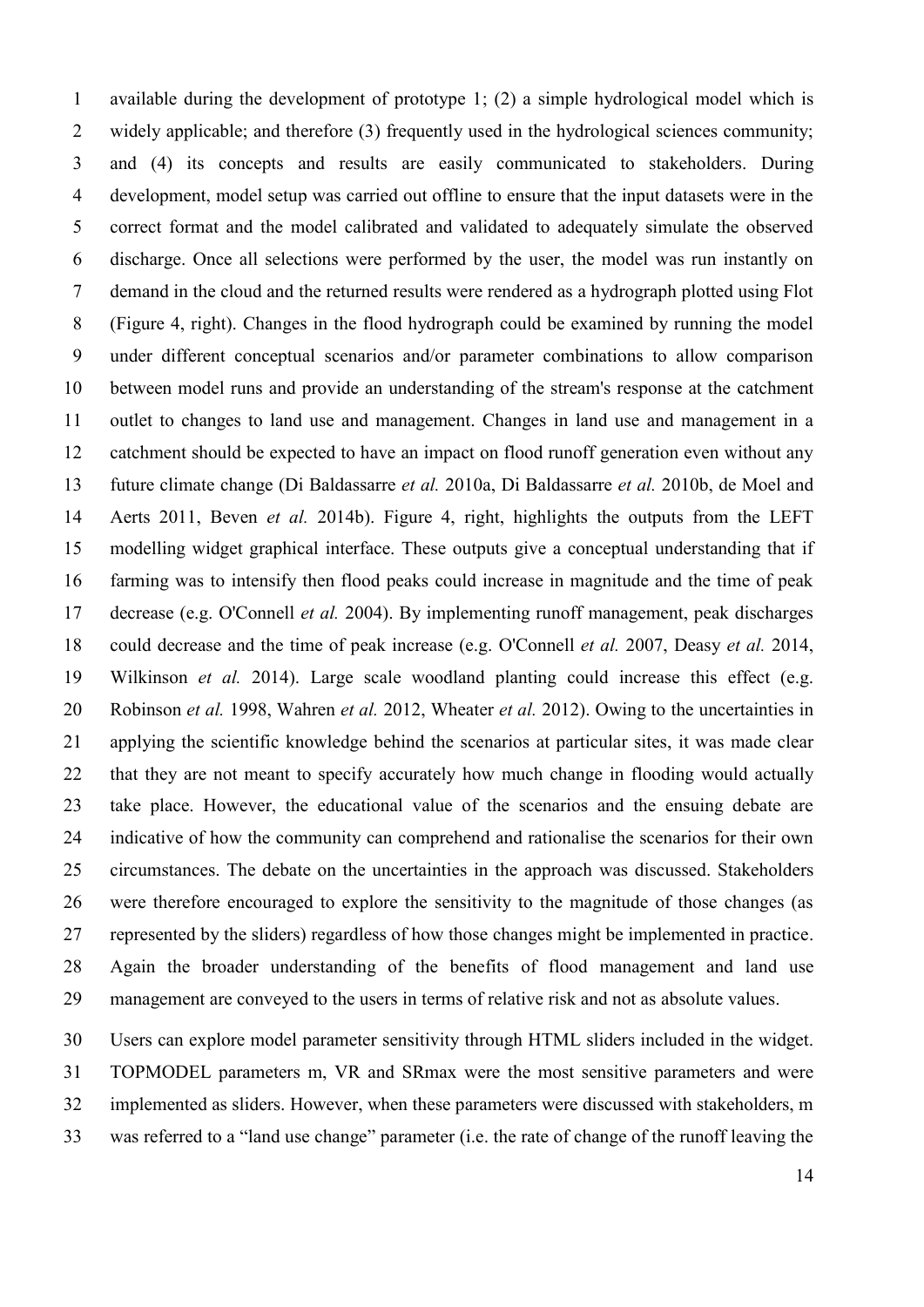available during the development of prototype 1; (2) a simple hydrological model which is widely applicable; and therefore (3) frequently used in the hydrological sciences community; and (4) its concepts and results are easily communicated to stakeholders. During development, model setup was carried out offline to ensure that the input datasets were in the correct format and the model calibrated and validated to adequately simulate the observed discharge. Once all selections were performed by the user, the model was run instantly on demand in the cloud and the returned results were rendered as a hydrograph plotted using Flot (Figure 4, right). Changes in the flood hydrograph could be examined by running the model under different conceptual scenarios and/or parameter combinations to allow comparison between model runs and provide an understanding of the stream's response at the catchment outlet to changes to land use and management. Changes in land use and management in a catchment should be expected to have an impact on flood runoff generation even without any future climate change [\(Di Baldassarre](#page-23-3) *et al.* 2010a, [Di Baldassarre](#page-23-4) *et al.* 2010b, [de Moel and](#page-22-8)  [Aerts 2011,](#page-22-8) [Beven](#page-22-9) *et al.* 2014b). Figure 4, right, highlights the outputs from the LEFT modelling widget graphical interface. These outputs give a conceptual understanding that if farming was to intensify then flood peaks could increase in magnitude and the time of peak decrease (e.g. [O'Connell](#page-24-8) *et al.* 2004). By implementing runoff management, peak discharges could decrease and the time of peak increase (e.g. [O'Connell](#page-24-3) *et al.* 2007, [Deasy](#page-22-1) *et al.* 2014, [Wilkinson](#page-26-9) *et al.* 2014). Large scale woodland planting could increase this effect (e.g. [Robinson](#page-25-6) *et al.* 1998, [Wahren](#page-26-6) *et al.* 2012, [Wheater](#page-26-8) *et al.* 2012). Owing to the uncertainties in applying the scientific knowledge behind the scenarios at particular sites, it was made clear 22 that they are not meant to specify accurately how much change in flooding would actually take place. However, the educational value of the scenarios and the ensuing debate are indicative of how the community can comprehend and rationalise the scenarios for their own circumstances. The debate on the uncertainties in the approach was discussed. Stakeholders were therefore encouraged to explore the sensitivity to the magnitude of those changes (as represented by the sliders) regardless of how those changes might be implemented in practice. Again the broader understanding of the benefits of flood management and land use management are conveyed to the users in terms of relative risk and not as absolute values.

 Users can explore model parameter sensitivity through HTML sliders included in the widget. TOPMODEL parameters m, VR and SRmax were the most sensitive parameters and were implemented as sliders. However, when these parameters were discussed with stakeholders, m was referred to a "land use change" parameter (i.e. the rate of change of the runoff leaving the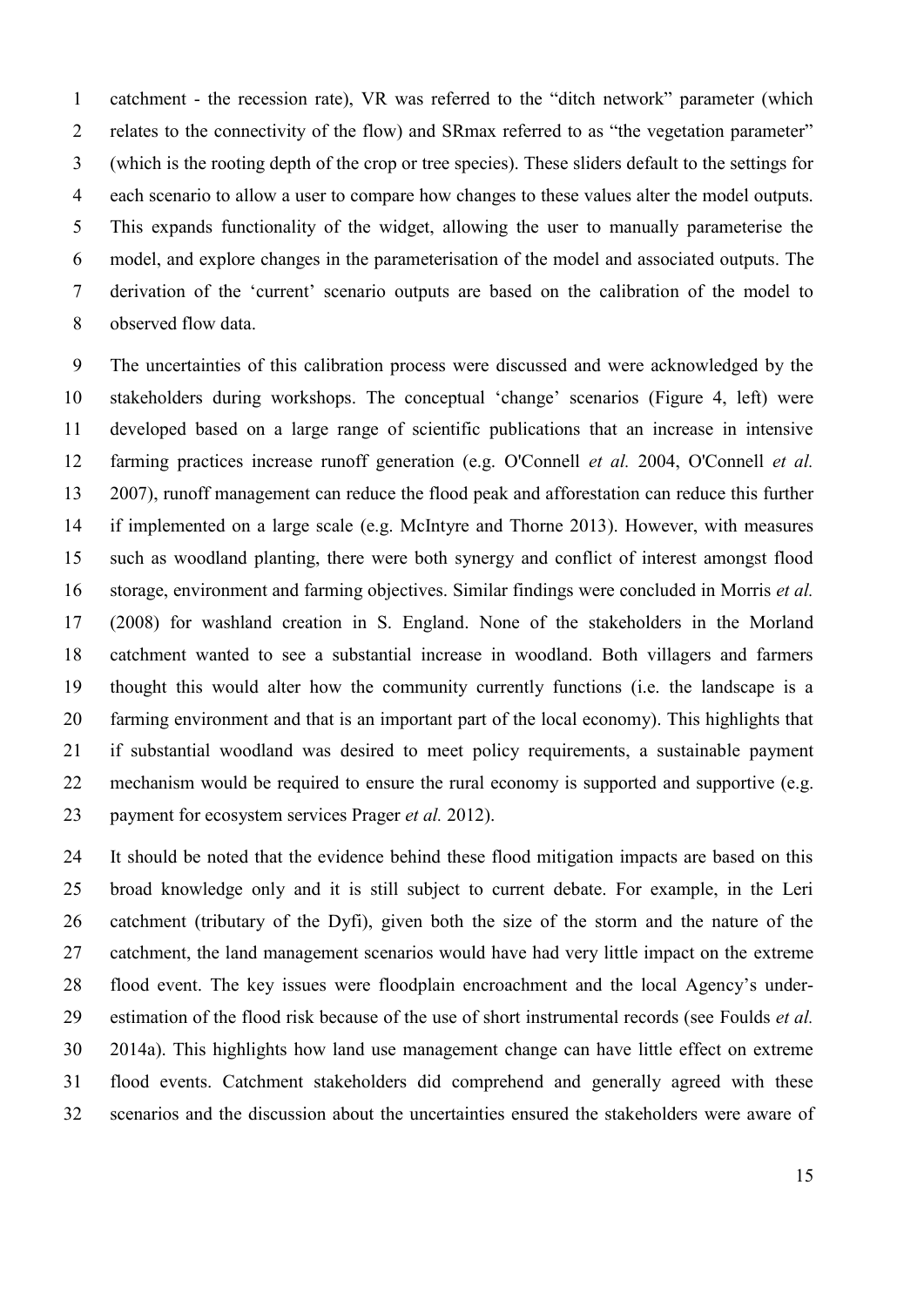catchment - the recession rate), VR was referred to the "ditch network" parameter (which relates to the connectivity of the flow) and SRmax referred to as "the vegetation parameter" (which is the rooting depth of the crop or tree species). These sliders default to the settings for each scenario to allow a user to compare how changes to these values alter the model outputs. This expands functionality of the widget, allowing the user to manually parameterise the model, and explore changes in the parameterisation of the model and associated outputs. The derivation of the 'current' scenario outputs are based on the calibration of the model to observed flow data.

 The uncertainties of this calibration process were discussed and were acknowledged by the stakeholders during workshops. The conceptual 'change' scenarios (Figure 4, left) were developed based on a large range of scientific publications that an increase in intensive farming practices increase runoff generation (e.g. [O'Connell](#page-24-8) *et al.* 2004, [O'Connell](#page-25-2) *et al.* [2007\)](#page-25-2), runoff management can reduce the flood peak and afforestation can reduce this further if implemented on a large scale (e.g. [McIntyre and Thorne 2013\)](#page-24-9). However, with measures such as woodland planting, there were both synergy and conflict of interest amongst flood storage, environment and farming objectives. Similar findings were concluded in Morris *et al.* [\(2008\)](#page-24-8) for washland creation in S. England. None of the stakeholders in the Morland catchment wanted to see a substantial increase in woodland. Both villagers and farmers thought this would alter how the community currently functions (i.e. the landscape is a farming environment and that is an important part of the local economy). This highlights that if substantial woodland was desired to meet policy requirements, a sustainable payment mechanism would be required to ensure the rural economy is supported and supportive (e.g. payment for ecosystem services [Prager](#page-25-7) *et al.* 2012).

 It should be noted that the evidence behind these flood mitigation impacts are based on this broad knowledge only and it is still subject to current debate. For example, in the Leri catchment (tributary of the Dyfi), given both the size of the storm and the nature of the catchment, the land management scenarios would have had very little impact on the extreme flood event. The key issues were floodplain encroachment and the local Agency's under- estimation of the flood risk because of the use of short instrumental records (see [Foulds](#page-23-5) *et al.* [2014a\)](#page-23-5). This highlights how land use management change can have little effect on extreme flood events. Catchment stakeholders did comprehend and generally agreed with these scenarios and the discussion about the uncertainties ensured the stakeholders were aware of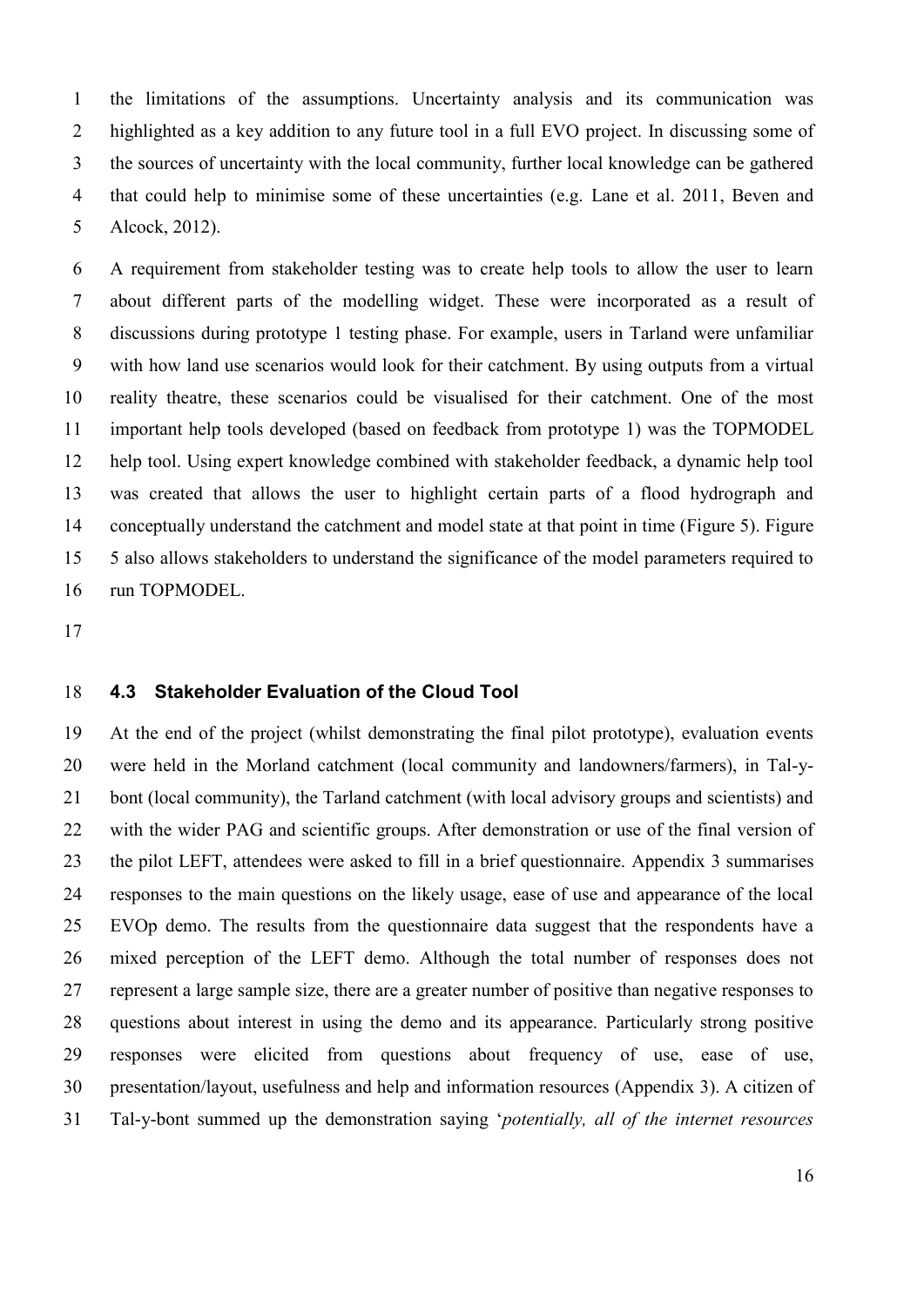the limitations of the assumptions. Uncertainty analysis and its communication was highlighted as a key addition to any future tool in a full EVO project. In discussing some of the sources of uncertainty with the local community, further local knowledge can be gathered that could help to minimise some of these uncertainties (e.g. Lane et al. 2011, Beven and Alcock, 2012).

 A requirement from stakeholder testing was to create help tools to allow the user to learn about different parts of the modelling widget. These were incorporated as a result of discussions during prototype 1 testing phase. For example, users in Tarland were unfamiliar with how land use scenarios would look for their catchment. By using outputs from a virtual reality theatre, these scenarios could be visualised for their catchment. One of the most important help tools developed (based on feedback from prototype 1) was the TOPMODEL help tool. Using expert knowledge combined with stakeholder feedback, a dynamic help tool was created that allows the user to highlight certain parts of a flood hydrograph and conceptually understand the catchment and model state at that point in time (Figure 5). Figure 5 also allows stakeholders to understand the significance of the model parameters required to run TOPMODEL.

# **4.3 Stakeholder Evaluation of the Cloud Tool**

 At the end of the project (whilst demonstrating the final pilot prototype), evaluation events were held in the Morland catchment (local community and landowners/farmers), in Tal-y- bont (local community), the Tarland catchment (with local advisory groups and scientists) and with the wider PAG and scientific groups. After demonstration or use of the final version of the pilot LEFT, attendees were asked to fill in a brief questionnaire. Appendix 3 summarises responses to the main questions on the likely usage, ease of use and appearance of the local EVOp demo. The results from the questionnaire data suggest that the respondents have a mixed perception of the LEFT demo. Although the total number of responses does not represent a large sample size, there are a greater number of positive than negative responses to questions about interest in using the demo and its appearance. Particularly strong positive responses were elicited from questions about frequency of use, ease of use, presentation/layout, usefulness and help and information resources (Appendix 3). A citizen of Tal-y-bont summed up the demonstration saying '*potentially, all of the internet resources*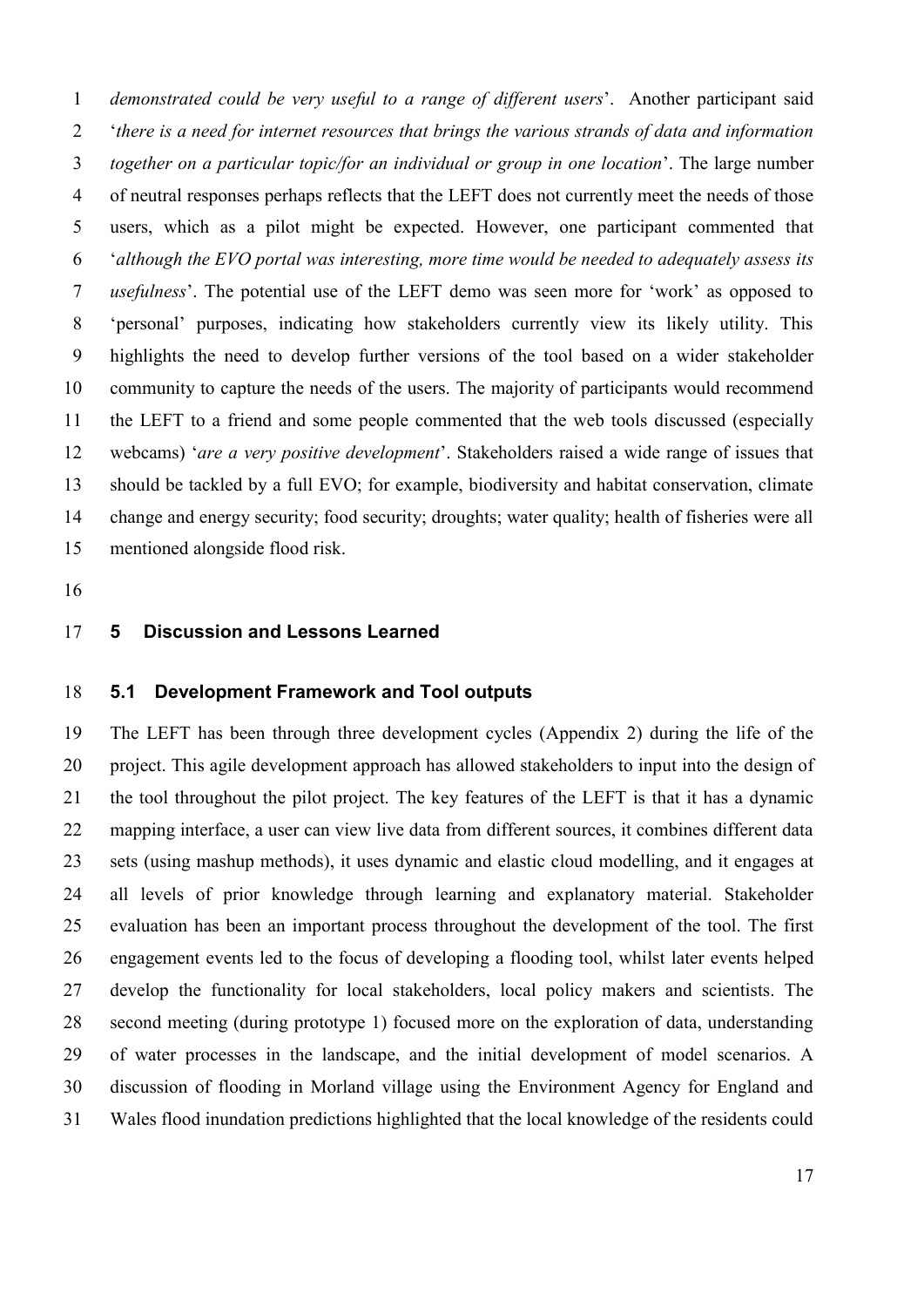*demonstrated could be very useful to a range of different users*'. Another participant said '*there is a need for internet resources that brings the various strands of data and information together on a particular topic/for an individual or group in one location*'. The large number of neutral responses perhaps reflects that the LEFT does not currently meet the needs of those users, which as a pilot might be expected. However, one participant commented that '*although the EVO portal was interesting, more time would be needed to adequately assess its usefulness*'. The potential use of the LEFT demo was seen more for 'work' as opposed to 'personal' purposes, indicating how stakeholders currently view its likely utility. This highlights the need to develop further versions of the tool based on a wider stakeholder community to capture the needs of the users. The majority of participants would recommend the LEFT to a friend and some people commented that the web tools discussed (especially webcams) '*are a very positive development*'. Stakeholders raised a wide range of issues that should be tackled by a full EVO; for example, biodiversity and habitat conservation, climate change and energy security; food security; droughts; water quality; health of fisheries were all mentioned alongside flood risk.

# **5 Discussion and Lessons Learned**

# **5.1 Development Framework and Tool outputs**

 The LEFT has been through three development cycles (Appendix 2) during the life of the project. This agile development approach has allowed stakeholders to input into the design of the tool throughout the pilot project. The key features of the LEFT is that it has a dynamic mapping interface, a user can view live data from different sources, it combines different data sets (using mashup methods), it uses dynamic and elastic cloud modelling, and it engages at all levels of prior knowledge through learning and explanatory material. Stakeholder evaluation has been an important process throughout the development of the tool. The first engagement events led to the focus of developing a flooding tool, whilst later events helped develop the functionality for local stakeholders, local policy makers and scientists. The second meeting (during prototype 1) focused more on the exploration of data, understanding of water processes in the landscape, and the initial development of model scenarios. A discussion of flooding in Morland village using the Environment Agency for England and Wales flood inundation predictions highlighted that the local knowledge of the residents could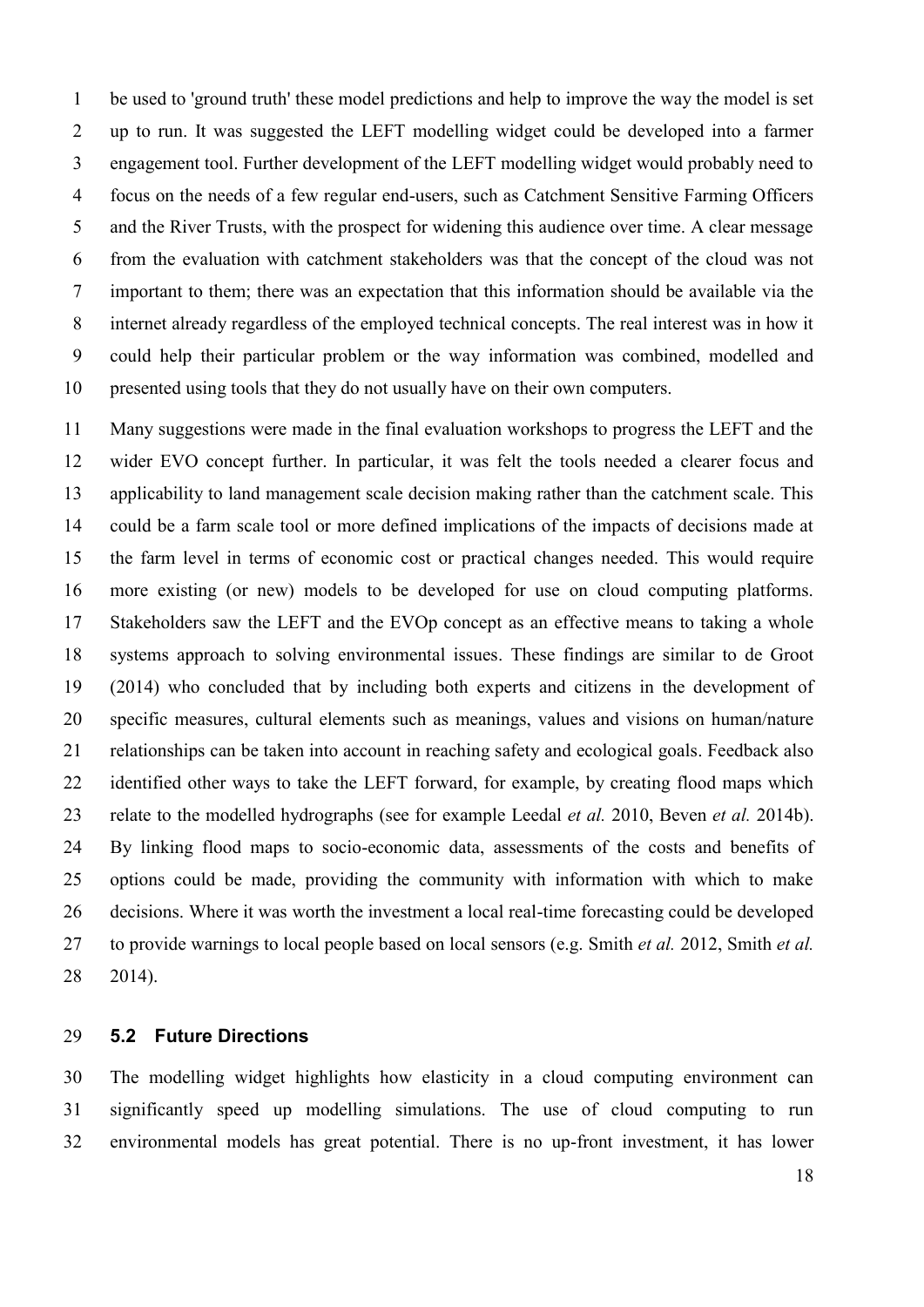be used to 'ground truth' these model predictions and help to improve the way the model is set up to run. It was suggested the LEFT modelling widget could be developed into a farmer engagement tool. Further development of the LEFT modelling widget would probably need to focus on the needs of a few regular end-users, such as Catchment Sensitive Farming Officers and the River Trusts, with the prospect for widening this audience over time. A clear message from the evaluation with catchment stakeholders was that the concept of the cloud was not important to them; there was an expectation that this information should be available via the internet already regardless of the employed technical concepts. The real interest was in how it could help their particular problem or the way information was combined, modelled and presented using tools that they do not usually have on their own computers.

 Many suggestions were made in the final evaluation workshops to progress the LEFT and the wider EVO concept further. In particular, it was felt the tools needed a clearer focus and applicability to land management scale decision making rather than the catchment scale. This could be a farm scale tool or more defined implications of the impacts of decisions made at the farm level in terms of economic cost or practical changes needed. This would require more existing (or new) models to be developed for use on cloud computing platforms. Stakeholders saw the LEFT and the EVOp concept as an effective means to taking a whole systems approach to solving environmental issues. These findings are similar to de Groot (2014) who concluded that by including both experts and citizens in the development of specific measures, cultural elements such as meanings, values and visions on human/nature relationships can be taken into account in reaching safety and ecological goals. Feedback also identified other ways to take the LEFT forward, for example, by creating flood maps which relate to the modelled hydrographs (see for example [Leedal](#page-24-5) *et al.* 2010, [Beven](#page-22-9) *et al.* 2014b). By linking flood maps to socio-economic data, assessments of the costs and benefits of options could be made, providing the community with information with which to make decisions. Where it was worth the investment a local real-time forecasting could be developed to provide warnings to local people based on local sensors (e.g. [Smith](#page-25-1) *et al.* 2012, [Smith](#page-25-8) *et al.* [2014\)](#page-25-8).

# **5.2 Future Directions**

 The modelling widget highlights how elasticity in a cloud computing environment can significantly speed up modelling simulations. The use of cloud computing to run environmental models has great potential. There is no up-front investment, it has lower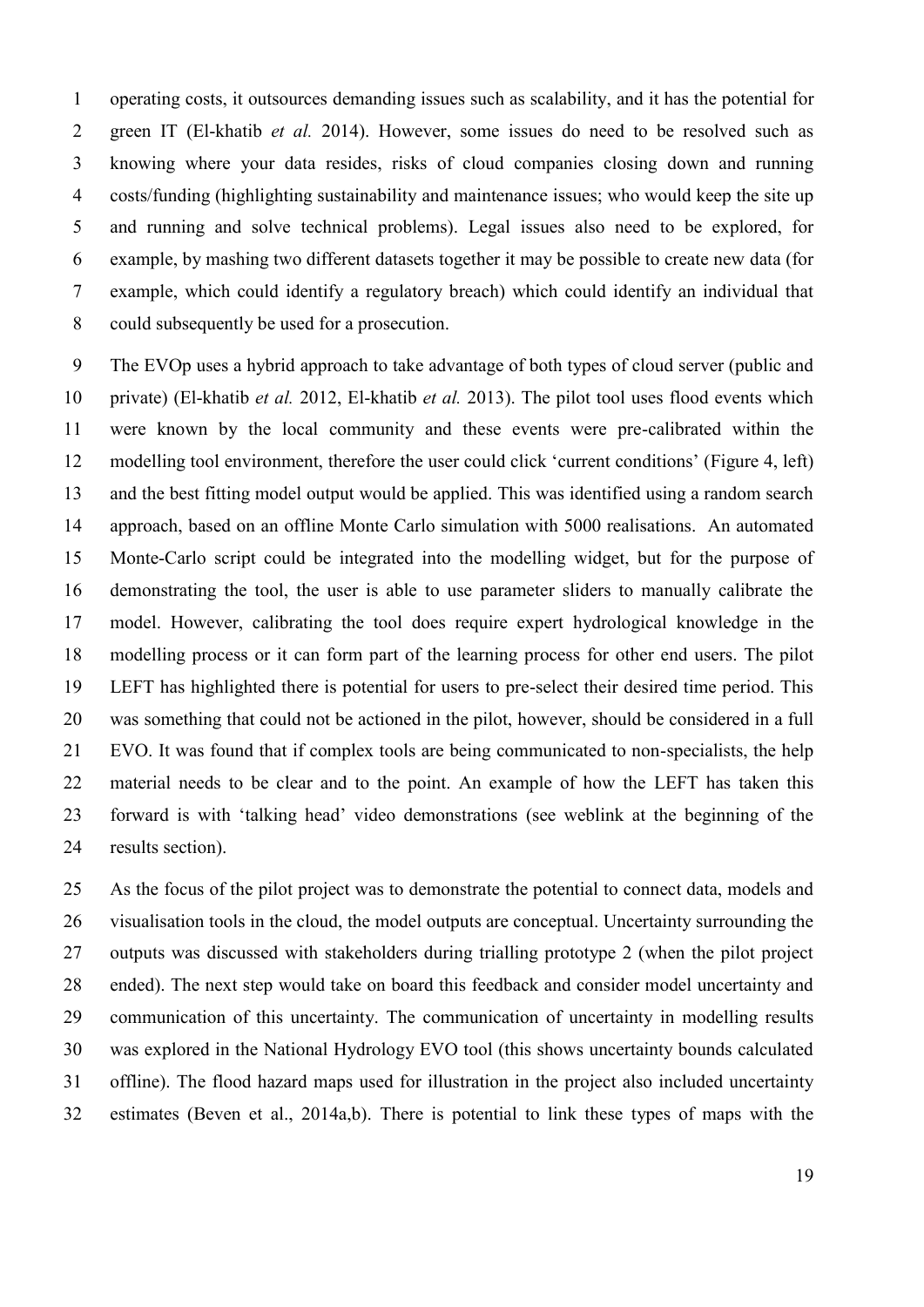operating costs, it outsources demanding issues such as scalability, and it has the potential for green IT [\(El-khatib](#page-23-6) *et al.* 2014). However, some issues do need to be resolved such as knowing where your data resides, risks of cloud companies closing down and running costs/funding (highlighting sustainability and maintenance issues; who would keep the site up and running and solve technical problems). Legal issues also need to be explored, for example, by mashing two different datasets together it may be possible to create new data (for example, which could identify a regulatory breach) which could identify an individual that could subsequently be used for a prosecution.

 The EVOp uses a hybrid approach to take advantage of both types of cloud server (public and private) [\(El-khatib](#page-23-7) *et al.* 2012, [El-khatib](#page-23-8) *et al.* 2013). The pilot tool uses flood events which were known by the local community and these events were pre-calibrated within the modelling tool environment, therefore the user could click 'current conditions' (Figure 4, left) and the best fitting model output would be applied. This was identified using a random search approach, based on an offline Monte Carlo simulation with 5000 realisations. An automated Monte-Carlo script could be integrated into the modelling widget, but for the purpose of demonstrating the tool, the user is able to use parameter sliders to manually calibrate the model. However, calibrating the tool does require expert hydrological knowledge in the modelling process or it can form part of the learning process for other end users. The pilot LEFT has highlighted there is potential for users to pre-select their desired time period. This was something that could not be actioned in the pilot, however, should be considered in a full EVO. It was found that if complex tools are being communicated to non-specialists, the help material needs to be clear and to the point. An example of how the LEFT has taken this forward is with 'talking head' video demonstrations (see weblink at the beginning of the results section).

 As the focus of the pilot project was to demonstrate the potential to connect data, models and visualisation tools in the cloud, the model outputs are conceptual. Uncertainty surrounding the outputs was discussed with stakeholders during trialling prototype 2 (when the pilot project ended). The next step would take on board this feedback and consider model uncertainty and communication of this uncertainty. The communication of uncertainty in modelling results was explored in the National Hydrology EVO tool (this shows uncertainty bounds calculated offline). The flood hazard maps used for illustration in the project also included uncertainty estimates (Beven et al., 2014a,b). There is potential to link these types of maps with the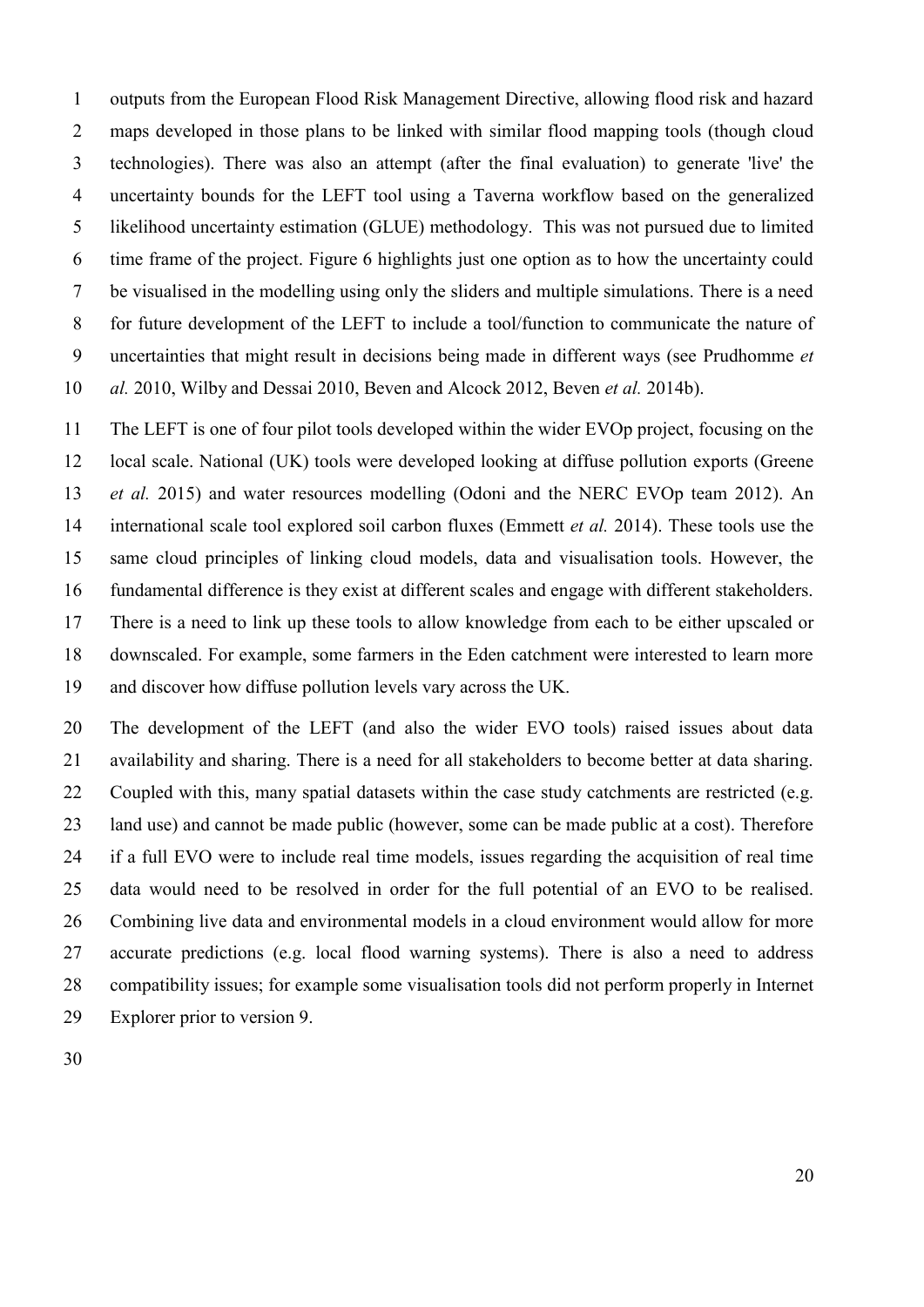outputs from the European Flood Risk Management Directive, allowing flood risk and hazard maps developed in those plans to be linked with similar flood mapping tools (though cloud technologies). There was also an attempt (after the final evaluation) to generate 'live' the uncertainty bounds for the LEFT tool using a Taverna workflow based on the generalized likelihood uncertainty estimation (GLUE) methodology. This was not pursued due to limited time frame of the project. Figure 6 highlights just one option as to how the uncertainty could be visualised in the modelling using only the sliders and multiple simulations. There is a need for future development of the LEFT to include a tool/function to communicate the nature of uncertainties that might result in decisions being made in different ways (see [Prudhomme](#page-25-4) *et al.* [2010,](#page-25-4) [Wilby and Dessai 2010,](#page-26-10) [Beven and Alcock 2012,](#page-22-3) [Beven](#page-22-9) *et al.* 2014b).

 The LEFT is one of four pilot tools developed within the wider EVOp project, focusing on the local scale. National (UK) tools were developed looking at diffuse pollution exports (Greene *et al.* 2015) and water resources modelling [\(Odoni and the NERC EVOp team 2012\)](#page-25-5). An international scale tool explored soil carbon fluxes [\(Emmett](#page-23-5) *et al.* 2014). These tools use the same cloud principles of linking cloud models, data and visualisation tools. However, the fundamental difference is they exist at different scales and engage with different stakeholders. There is a need to link up these tools to allow knowledge from each to be either upscaled or downscaled. For example, some farmers in the Eden catchment were interested to learn more and discover how diffuse pollution levels vary across the UK.

 The development of the LEFT (and also the wider EVO tools) raised issues about data availability and sharing. There is a need for all stakeholders to become better at data sharing. Coupled with this, many spatial datasets within the case study catchments are restricted (e.g. land use) and cannot be made public (however, some can be made public at a cost). Therefore if a full EVO were to include real time models, issues regarding the acquisition of real time data would need to be resolved in order for the full potential of an EVO to be realised. Combining live data and environmental models in a cloud environment would allow for more accurate predictions (e.g. local flood warning systems). There is also a need to address compatibility issues; for example some visualisation tools did not perform properly in Internet Explorer prior to version 9.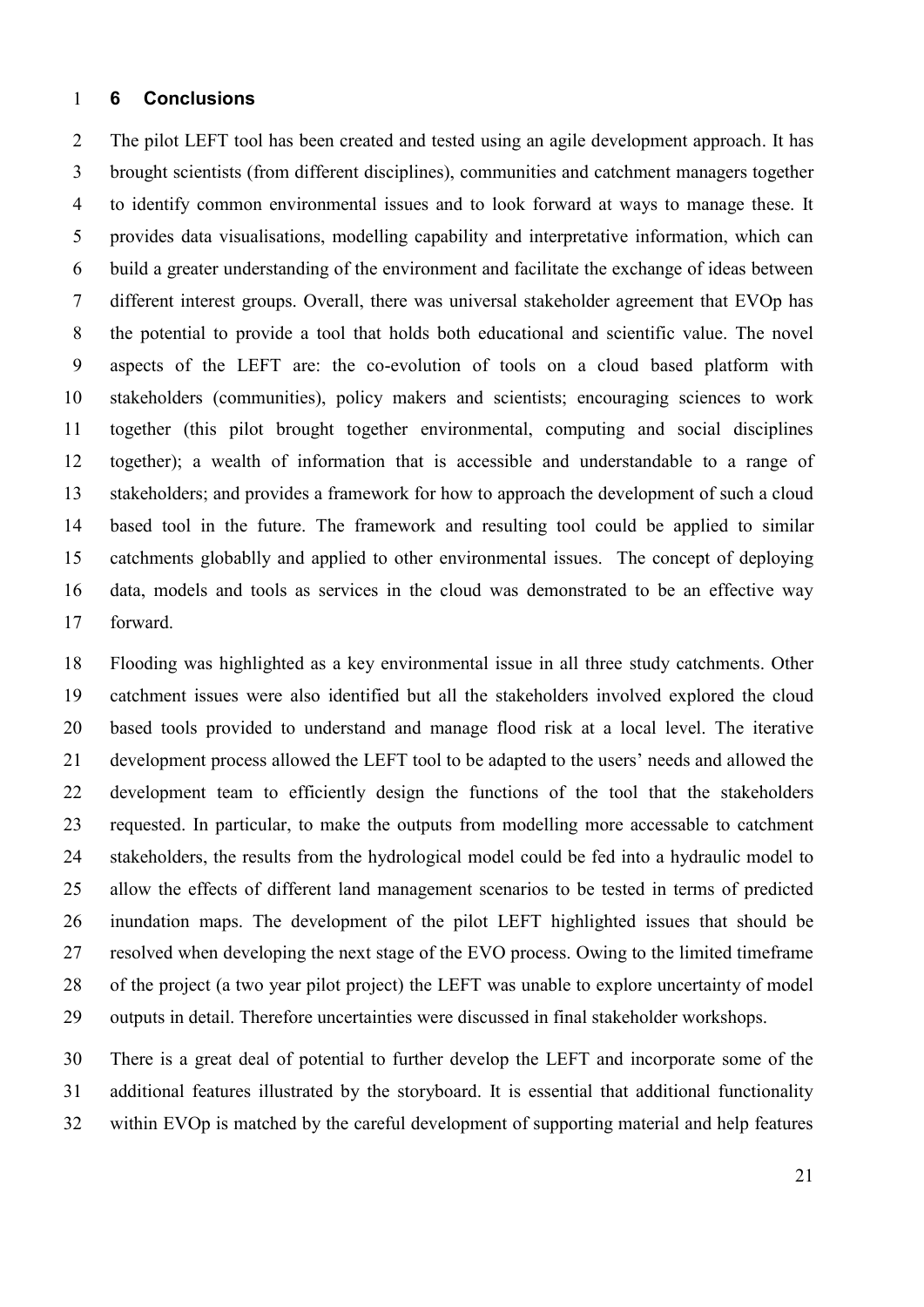# **6 Conclusions**

 The pilot LEFT tool has been created and tested using an agile development approach. It has brought scientists (from different disciplines), communities and catchment managers together to identify common environmental issues and to look forward at ways to manage these. It provides data visualisations, modelling capability and interpretative information, which can build a greater understanding of the environment and facilitate the exchange of ideas between different interest groups. Overall, there was universal stakeholder agreement that EVOp has the potential to provide a tool that holds both educational and scientific value. The novel aspects of the LEFT are: the co-evolution of tools on a cloud based platform with stakeholders (communities), policy makers and scientists; encouraging sciences to work together (this pilot brought together environmental, computing and social disciplines together); a wealth of information that is accessible and understandable to a range of stakeholders; and provides a framework for how to approach the development of such a cloud based tool in the future. The framework and resulting tool could be applied to similar catchments globablly and applied to other environmental issues. The concept of deploying data, models and tools as services in the cloud was demonstrated to be an effective way forward.

 Flooding was highlighted as a key environmental issue in all three study catchments. Other catchment issues were also identified but all the stakeholders involved explored the cloud based tools provided to understand and manage flood risk at a local level. The iterative development process allowed the LEFT tool to be adapted to the users' needs and allowed the development team to efficiently design the functions of the tool that the stakeholders requested. In particular, to make the outputs from modelling more accessable to catchment stakeholders, the results from the hydrological model could be fed into a hydraulic model to allow the effects of different land management scenarios to be tested in terms of predicted inundation maps. The development of the pilot LEFT highlighted issues that should be resolved when developing the next stage of the EVO process. Owing to the limited timeframe of the project (a two year pilot project) the LEFT was unable to explore uncertainty of model outputs in detail. Therefore uncertainties were discussed in final stakeholder workshops.

 There is a great deal of potential to further develop the LEFT and incorporate some of the additional features illustrated by the storyboard. It is essential that additional functionality within EVOp is matched by the careful development of supporting material and help features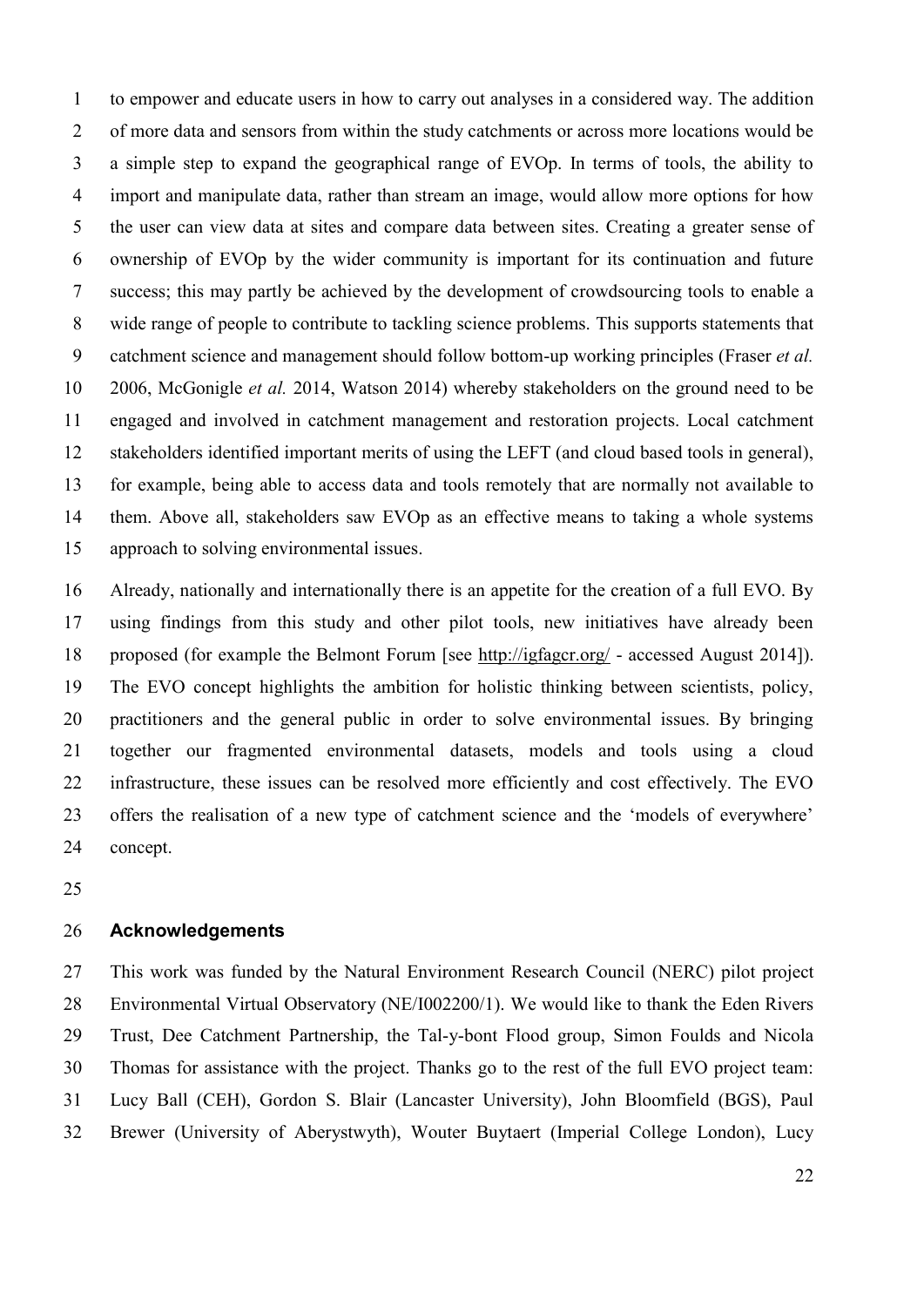to empower and educate users in how to carry out analyses in a considered way. The addition 2 of more data and sensors from within the study catchments or across more locations would be a simple step to expand the geographical range of EVOp. In terms of tools, the ability to import and manipulate data, rather than stream an image, would allow more options for how the user can view data at sites and compare data between sites. Creating a greater sense of ownership of EVOp by the wider community is important for its continuation and future success; this may partly be achieved by the development of crowdsourcing tools to enable a wide range of people to contribute to tackling science problems. This supports statements that catchment science and management should follow bottom-up working principles [\(Fraser](#page-23-9) *et al.* [2006,](#page-23-9) [McGonigle](#page-24-9) *et al.* 2014, [Watson 2014\)](#page-26-10) whereby stakeholders on the ground need to be engaged and involved in catchment management and restoration projects. Local catchment stakeholders identified important merits of using the LEFT (and cloud based tools in general), for example, being able to access data and tools remotely that are normally not available to them. Above all, stakeholders saw EVOp as an effective means to taking a whole systems approach to solving environmental issues.

 Already, nationally and internationally there is an appetite for the creation of a full EVO. By using findings from this study and other pilot tools, new initiatives have already been proposed (for example the Belmont Forum [see<http://igfagcr.org/> - accessed August 2014]). The EVO concept highlights the ambition for holistic thinking between scientists, policy, practitioners and the general public in order to solve environmental issues. By bringing together our fragmented environmental datasets, models and tools using a cloud infrastructure, these issues can be resolved more efficiently and cost effectively. The EVO offers the realisation of a new type of catchment science and the 'models of everywhere' concept.

# **Acknowledgements**

 This work was funded by the Natural Environment Research Council (NERC) pilot project Environmental Virtual Observatory (NE/I002200/1). We would like to thank the Eden Rivers Trust, Dee Catchment Partnership, the Tal-y-bont Flood group, Simon Foulds and Nicola Thomas for assistance with the project. Thanks go to the rest of the full EVO project team: Lucy Ball (CEH), Gordon S. Blair (Lancaster University), John Bloomfield (BGS), Paul Brewer (University of Aberystwyth), Wouter Buytaert (Imperial College London), Lucy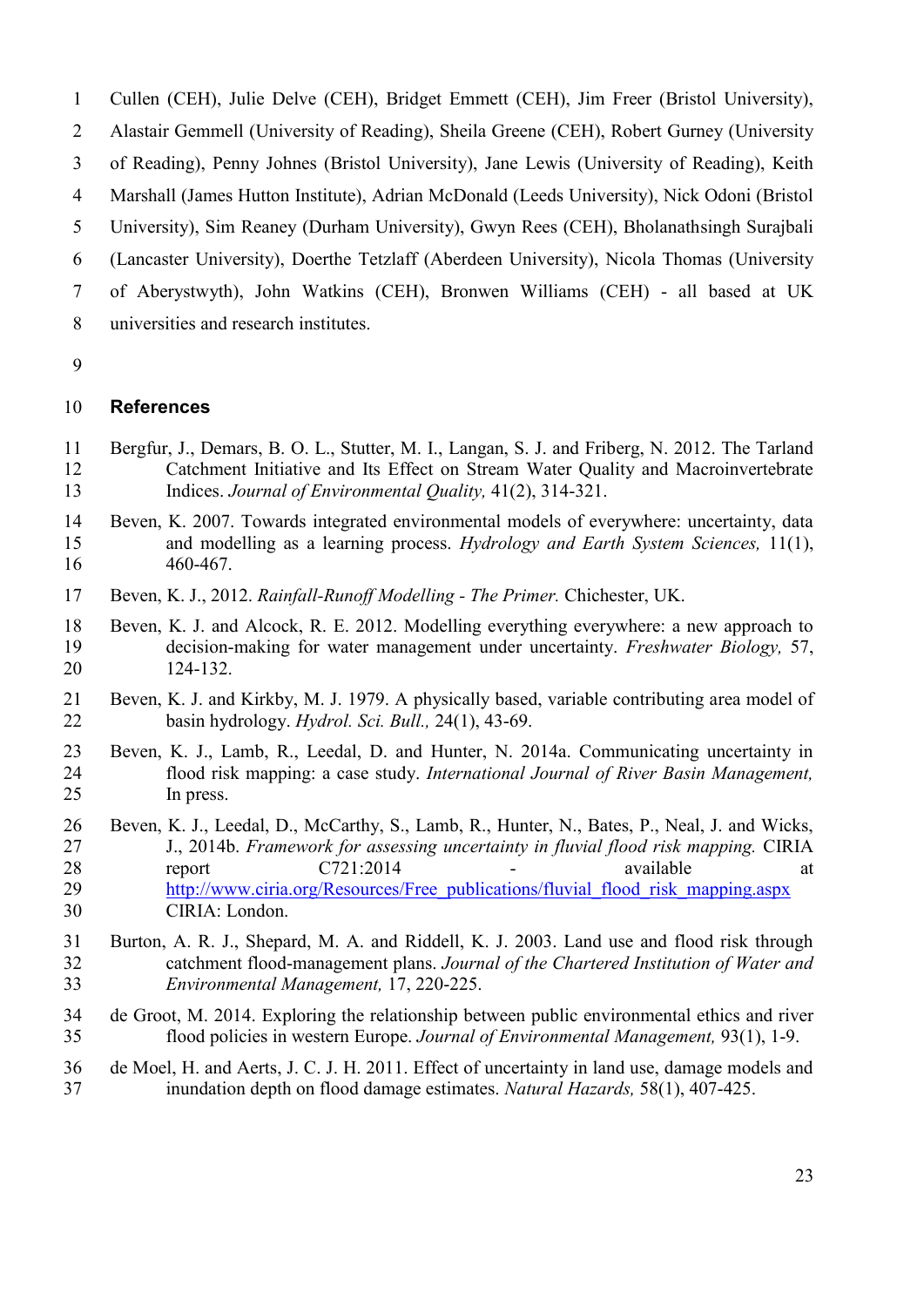- Cullen (CEH), Julie Delve (CEH), Bridget Emmett (CEH), Jim Freer (Bristol University),
- Alastair Gemmell (University of Reading), Sheila Greene (CEH), Robert Gurney (University
- of Reading), Penny Johnes (Bristol University), Jane Lewis (University of Reading), Keith
- Marshall (James Hutton Institute), Adrian McDonald (Leeds University), Nick Odoni (Bristol
- University), Sim Reaney (Durham University), Gwyn Rees (CEH), Bholanathsingh Surajbali
- (Lancaster University), Doerthe Tetzlaff (Aberdeen University), Nicola Thomas (University
- of Aberystwyth), John Watkins (CEH), Bronwen Williams (CEH) all based at UK
- universities and research institutes.
- 

# **References**

- <span id="page-22-4"></span> Bergfur, J., Demars, B. O. L., Stutter, M. I., Langan, S. J. and Friberg, N. 2012. The Tarland Catchment Initiative and Its Effect on Stream Water Quality and Macroinvertebrate Indices. *Journal of Environmental Quality,* 41(2), 314-321.
- <span id="page-22-2"></span> Beven, K. 2007. Towards integrated environmental models of everywhere: uncertainty, data and modelling as a learning process. *Hydrology and Earth System Sciences,* 11(1), 460-467.
- <span id="page-22-7"></span>Beven, K. J., 2012. *Rainfall-Runoff Modelling - The Primer.* Chichester, UK.
- <span id="page-22-3"></span> Beven, K. J. and Alcock, R. E. 2012. Modelling everything everywhere: a new approach to decision-making for water management under uncertainty. *Freshwater Biology,* 57, 124-132.
- <span id="page-22-6"></span> Beven, K. J. and Kirkby, M. J. 1979. A physically based, variable contributing area model of basin hydrology. *Hydrol. Sci. Bull.,* 24(1), 43-69.
- <span id="page-22-5"></span> Beven, K. J., Lamb, R., Leedal, D. and Hunter, N. 2014a. Communicating uncertainty in flood risk mapping: a case study. *International Journal of River Basin Management,* In press.
- <span id="page-22-9"></span> Beven, K. J., Leedal, D., McCarthy, S., Lamb, R., Hunter, N., Bates, P., Neal, J. and Wicks, J., 2014b. *Framework for assessing uncertainty in fluvial flood risk mapping.* CIRIA 28 report C721:2014 - available at 29 http://www.ciria.org/Resources/Free publications/fluvial flood risk mapping.aspx CIRIA: London.
- <span id="page-22-0"></span> Burton, A. R. J., Shepard, M. A. and Riddell, K. J. 2003. Land use and flood risk through catchment flood-management plans. *Journal of the Chartered Institution of Water and Environmental Management,* 17, 220-225.
- <span id="page-22-1"></span> de Groot, M. 2014. Exploring the relationship between public environmental ethics and river flood policies in western Europe. *Journal of Environmental Management,* 93(1), 1-9.
- <span id="page-22-8"></span> de Moel, H. and Aerts, J. C. J. H. 2011. Effect of uncertainty in land use, damage models and inundation depth on flood damage estimates. *Natural Hazards,* 58(1), 407-425.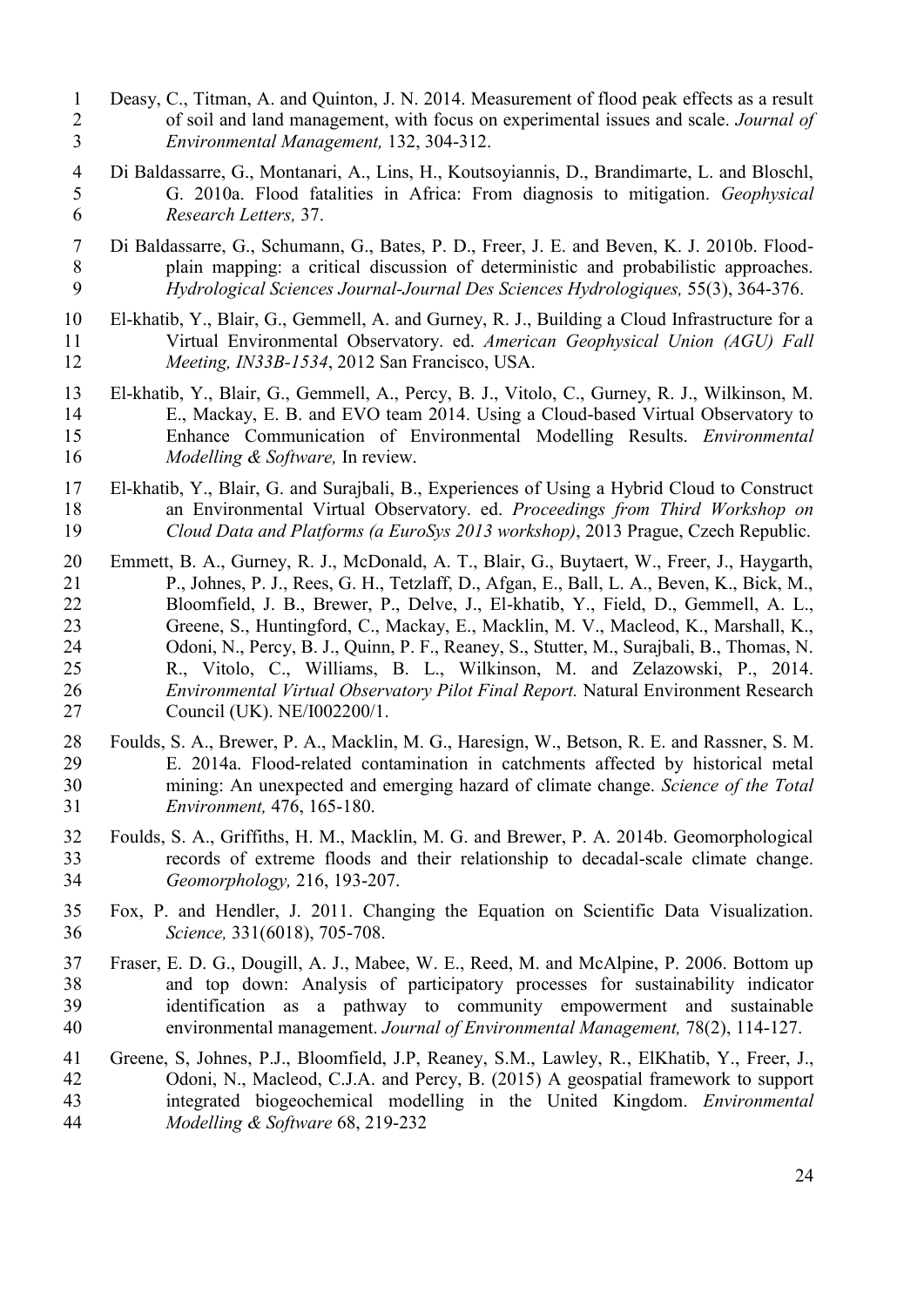- Deasy, C., Titman, A. and Quinton, J. N. 2014. Measurement of flood peak effects as a result of soil and land management, with focus on experimental issues and scale. *Journal of Environmental Management,* 132, 304-312.
- <span id="page-23-3"></span> Di Baldassarre, G., Montanari, A., Lins, H., Koutsoyiannis, D., Brandimarte, L. and Bloschl, G. 2010a. Flood fatalities in Africa: From diagnosis to mitigation. *Geophysical Research Letters,* 37.
- <span id="page-23-4"></span> Di Baldassarre, G., Schumann, G., Bates, P. D., Freer, J. E. and Beven, K. J. 2010b. Flood-8 plain mapping: a critical discussion of deterministic and probabilistic approaches.<br>9 *Hydrological Sciences Journal-Journal Des Sciences Hydrologiques*, 55(3), 364-376. *Hydrological Sciences Journal-Journal Des Sciences Hydrologiques,* 55(3), 364-376.
- <span id="page-23-7"></span> El-khatib, Y., Blair, G., Gemmell, A. and Gurney, R. J., Building a Cloud Infrastructure for a Virtual Environmental Observatory. ed. *American Geophysical Union (AGU) Fall Meeting, IN33B-1534*, 2012 San Francisco, USA.
- <span id="page-23-6"></span> El-khatib, Y., Blair, G., Gemmell, A., Percy, B. J., Vitolo, C., Gurney, R. J., Wilkinson, M. E., Mackay, E. B. and EVO team 2014. Using a Cloud-based Virtual Observatory to Enhance Communication of Environmental Modelling Results. *Environmental Modelling & Software,* In review.
- <span id="page-23-8"></span> El-khatib, Y., Blair, G. and Surajbali, B., Experiences of Using a Hybrid Cloud to Construct an Environmental Virtual Observatory. ed. *Proceedings from Third Workshop on Cloud Data and Platforms (a EuroSys 2013 workshop)*, 2013 Prague, Czech Republic.
- <span id="page-23-5"></span> Emmett, B. A., Gurney, R. J., McDonald, A. T., Blair, G., Buytaert, W., Freer, J., Haygarth, P., Johnes, P. J., Rees, G. H., Tetzlaff, D., Afgan, E., Ball, L. A., Beven, K., Bick, M., Bloomfield, J. B., Brewer, P., Delve, J., El-khatib, Y., Field, D., Gemmell, A. L., Greene, S., Huntingford, C., Mackay, E., Macklin, M. V., Macleod, K., Marshall, K., Odoni, N., Percy, B. J., Quinn, P. F., Reaney, S., Stutter, M., Surajbali, B., Thomas, N. R., Vitolo, C., Williams, B. L., Wilkinson, M. and Zelazowski, P., 2014. *Environmental Virtual Observatory Pilot Final Report.* Natural Environment Research Council (UK). NE/I002200/1.
- <span id="page-23-1"></span> Foulds, S. A., Brewer, P. A., Macklin, M. G., Haresign, W., Betson, R. E. and Rassner, S. M. E. 2014a. Flood-related contamination in catchments affected by historical metal mining: An unexpected and emerging hazard of climate change. *Science of the Total Environment,* 476, 165-180.
- <span id="page-23-2"></span> Foulds, S. A., Griffiths, H. M., Macklin, M. G. and Brewer, P. A. 2014b. Geomorphological records of extreme floods and their relationship to decadal-scale climate change. *Geomorphology,* 216, 193-207.
- <span id="page-23-0"></span> Fox, P. and Hendler, J. 2011. Changing the Equation on Scientific Data Visualization. *Science,* 331(6018), 705-708.
- <span id="page-23-9"></span> Fraser, E. D. G., Dougill, A. J., Mabee, W. E., Reed, M. and McAlpine, P. 2006. Bottom up and top down: Analysis of participatory processes for sustainability indicator identification as a pathway to community empowerment and sustainable environmental management. *Journal of Environmental Management,* 78(2), 114-127.
- Greene, S, Johnes, P.J., Bloomfield, J.P, Reaney, S.M., Lawley, R., ElKhatib, Y., Freer, J., Odoni, N., Macleod, C.J.A. and Percy, B. (2015) A geospatial framework to support integrated biogeochemical modelling in the United Kingdom. *Environmental Modelling & Software* 68, 219-232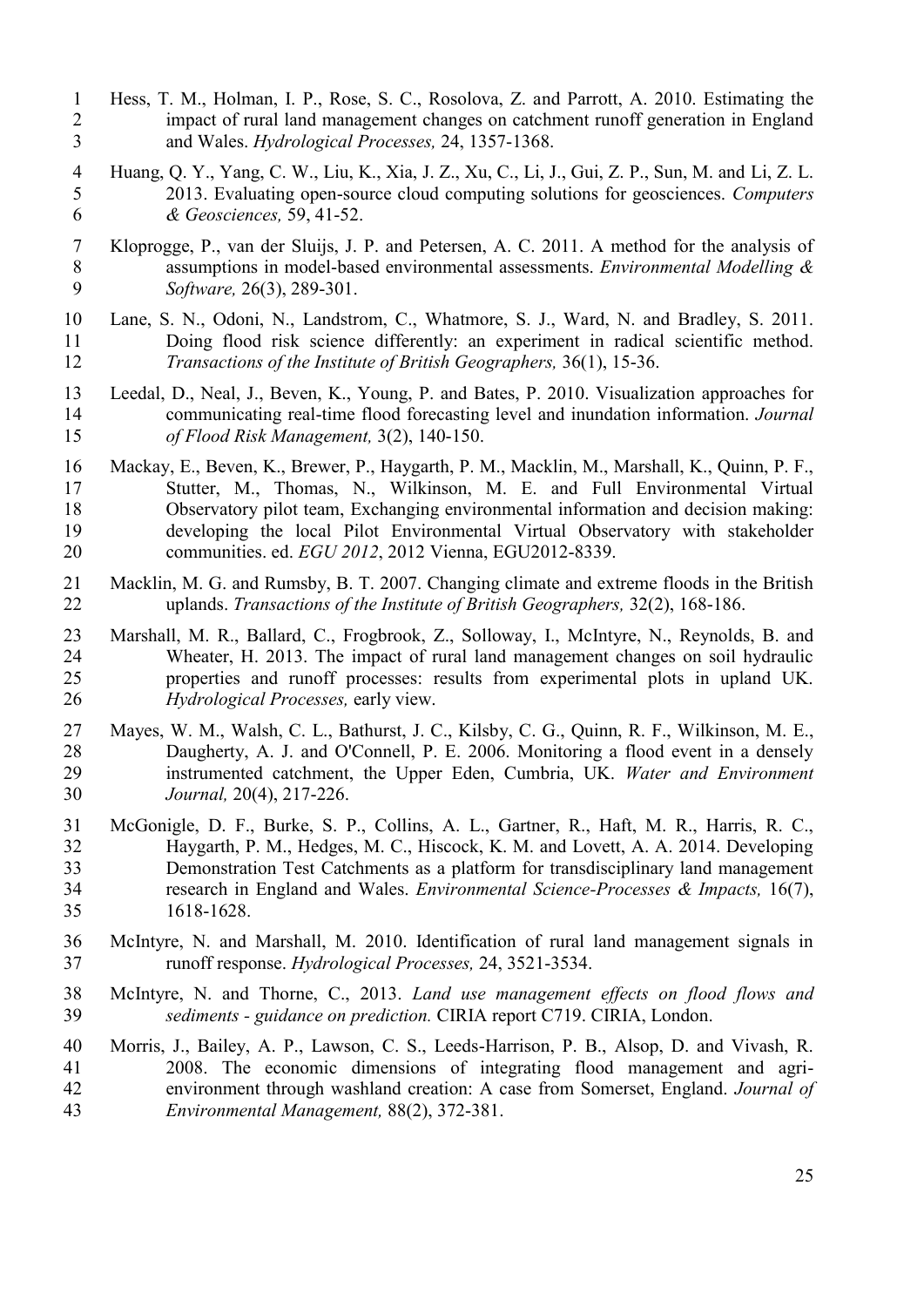- <span id="page-24-2"></span> Hess, T. M., Holman, I. P., Rose, S. C., Rosolova, Z. and Parrott, A. 2010. Estimating the impact of rural land management changes on catchment runoff generation in England and Wales. *Hydrological Processes,* 24, 1357-1368.
- <span id="page-24-4"></span> Huang, Q. Y., Yang, C. W., Liu, K., Xia, J. Z., Xu, C., Li, J., Gui, Z. P., Sun, M. and Li, Z. L. 2013. Evaluating open-source cloud computing solutions for geosciences. *Computers & Geosciences,* 59, 41-52.
- Kloprogge, P., van der Sluijs, J. P. and Petersen, A. C. 2011. A method for the analysis of assumptions in model-based environmental assessments. *Environmental Modelling & Software,* 26(3), 289-301.
- <span id="page-24-5"></span> Lane, S. N., Odoni, N., Landstrom, C., Whatmore, S. J., Ward, N. and Bradley, S. 2011. Doing flood risk science differently: an experiment in radical scientific method. *Transactions of the Institute of British Geographers,* 36(1), 15-36.
- Leedal, D., Neal, J., Beven, K., Young, P. and Bates, P. 2010. Visualization approaches for communicating real-time flood forecasting level and inundation information. *Journal of Flood Risk Management,* 3(2), 140-150.
- <span id="page-24-7"></span> Mackay, E., Beven, K., Brewer, P., Haygarth, P. M., Macklin, M., Marshall, K., Quinn, P. F., Stutter, M., Thomas, N., Wilkinson, M. E. and Full Environmental Virtual Observatory pilot team, Exchanging environmental information and decision making: developing the local Pilot Environmental Virtual Observatory with stakeholder communities. ed. *EGU 2012*, 2012 Vienna, EGU2012-8339.
- <span id="page-24-0"></span> Macklin, M. G. and Rumsby, B. T. 2007. Changing climate and extreme floods in the British uplands. *Transactions of the Institute of British Geographers,* 32(2), 168-186.
- <span id="page-24-1"></span> Marshall, M. R., Ballard, C., Frogbrook, Z., Solloway, I., McIntyre, N., Reynolds, B. and Wheater, H. 2013. The impact of rural land management changes on soil hydraulic properties and runoff processes: results from experimental plots in upland UK. *Hydrological Processes,* early view.
- <span id="page-24-6"></span> Mayes, W. M., Walsh, C. L., Bathurst, J. C., Kilsby, C. G., Quinn, R. F., Wilkinson, M. E., Daugherty, A. J. and O'Connell, P. E. 2006. Monitoring a flood event in a densely instrumented catchment, the Upper Eden, Cumbria, UK. *Water and Environment Journal,* 20(4), 217-226.
- <span id="page-24-9"></span> McGonigle, D. F., Burke, S. P., Collins, A. L., Gartner, R., Haft, M. R., Harris, R. C., Haygarth, P. M., Hedges, M. C., Hiscock, K. M. and Lovett, A. A. 2014. Developing Demonstration Test Catchments as a platform for transdisciplinary land management research in England and Wales. *Environmental Science-Processes & Impacts,* 16(7), 1618-1628.
- <span id="page-24-3"></span> McIntyre, N. and Marshall, M. 2010. Identification of rural land management signals in runoff response. *Hydrological Processes,* 24, 3521-3534.
- McIntyre, N. and Thorne, C., 2013. *Land use management effects on flood flows and sediments - guidance on prediction.* CIRIA report C719. CIRIA, London.
- <span id="page-24-8"></span> Morris, J., Bailey, A. P., Lawson, C. S., Leeds-Harrison, P. B., Alsop, D. and Vivash, R. 2008. The economic dimensions of integrating flood management and agri- environment through washland creation: A case from Somerset, England. *Journal of Environmental Management,* 88(2), 372-381.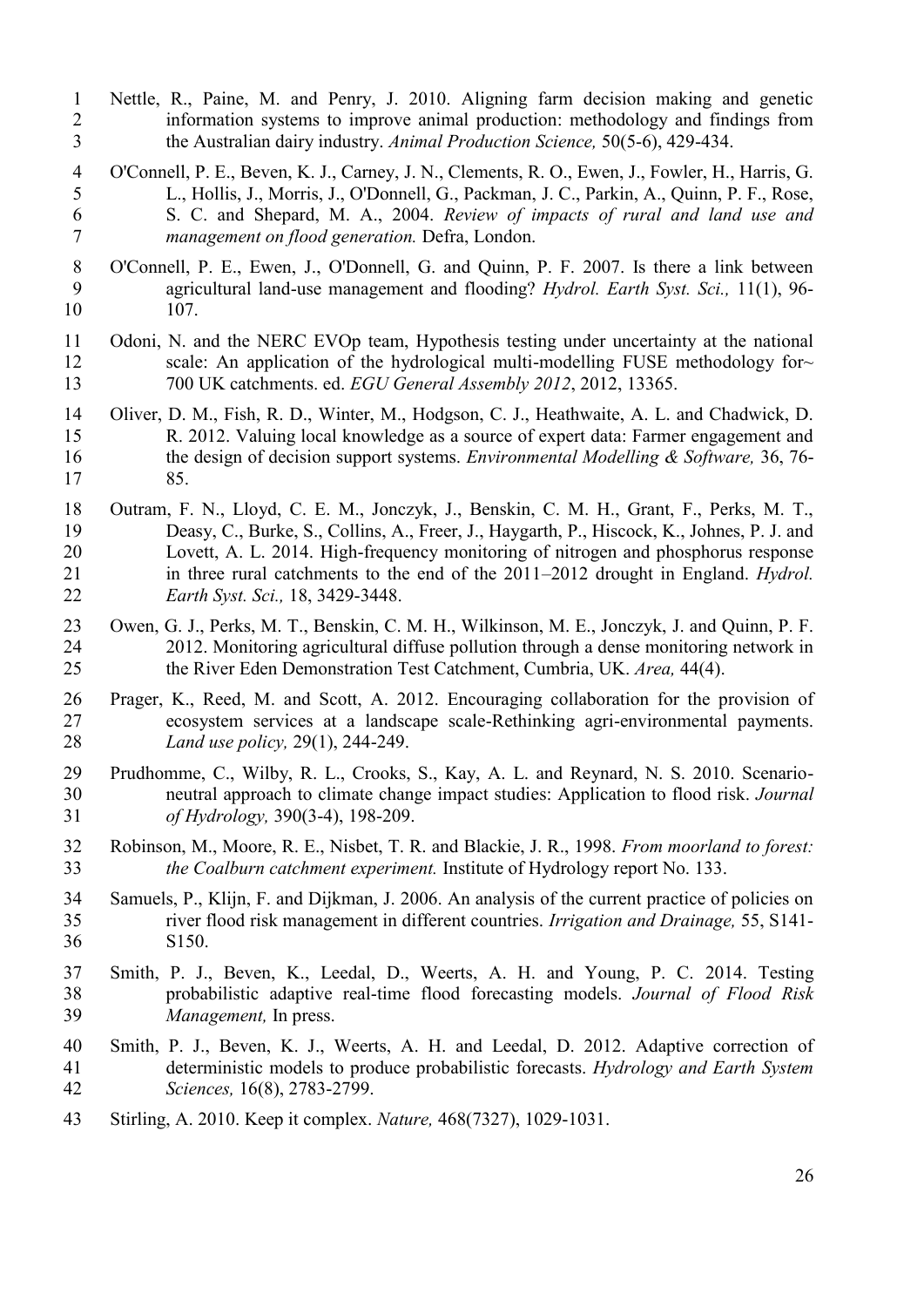- <span id="page-25-2"></span> Nettle, R., Paine, M. and Penry, J. 2010. Aligning farm decision making and genetic information systems to improve animal production: methodology and findings from the Australian dairy industry. *Animal Production Science,* 50(5-6), 429-434.
- O'Connell, P. E., Beven, K. J., Carney, J. N., Clements, R. O., Ewen, J., Fowler, H., Harris, G. L., Hollis, J., Morris, J., O'Donnell, G., Packman, J. C., Parkin, A., Quinn, P. F., Rose, S. C. and Shepard, M. A., 2004. *Review of impacts of rural and land use and management on flood generation.* Defra, London.
- <span id="page-25-0"></span> O'Connell, P. E., Ewen, J., O'Donnell, G. and Quinn, P. F. 2007. Is there a link between agricultural land-use management and flooding? *Hydrol. Earth Syst. Sci.,* 11(1), 96- 107.
- <span id="page-25-5"></span> Odoni, N. and the NERC EVOp team, Hypothesis testing under uncertainty at the national 12 scale: An application of the hydrological multi-modelling FUSE methodology for 700 UK catchments. ed. *EGU General Assembly 2012*, 2012, 13365.
- <span id="page-25-3"></span> Oliver, D. M., Fish, R. D., Winter, M., Hodgson, C. J., Heathwaite, A. L. and Chadwick, D. R. 2012. Valuing local knowledge as a source of expert data: Farmer engagement and the design of decision support systems. *Environmental Modelling & Software,* 36, 76- 85.
- <span id="page-25-7"></span> Outram, F. N., Lloyd, C. E. M., Jonczyk, J., Benskin, C. M. H., Grant, F., Perks, M. T., Deasy, C., Burke, S., Collins, A., Freer, J., Haygarth, P., Hiscock, K., Johnes, P. J. and Lovett, A. L. 2014. High-frequency monitoring of nitrogen and phosphorus response in three rural catchments to the end of the 2011–2012 drought in England. *Hydrol. Earth Syst. Sci.,* 18, 3429-3448.
- <span id="page-25-4"></span> Owen, G. J., Perks, M. T., Benskin, C. M. H., Wilkinson, M. E., Jonczyk, J. and Quinn, P. F. 2012. Monitoring agricultural diffuse pollution through a dense monitoring network in the River Eden Demonstration Test Catchment, Cumbria, UK. *Area,* 44(4).
- <span id="page-25-6"></span> Prager, K., Reed, M. and Scott, A. 2012. Encouraging collaboration for the provision of ecosystem services at a landscape scale-Rethinking agri-environmental payments. *Land use policy,* 29(1), 244-249.
- Prudhomme, C., Wilby, R. L., Crooks, S., Kay, A. L. and Reynard, N. S. 2010. Scenario- neutral approach to climate change impact studies: Application to flood risk. *Journal of Hydrology,* 390(3-4), 198-209.
- <span id="page-25-8"></span> Robinson, M., Moore, R. E., Nisbet, T. R. and Blackie, J. R., 1998. *From moorland to forest: the Coalburn catchment experiment.* Institute of Hydrology report No. 133.
- <span id="page-25-1"></span> Samuels, P., Klijn, F. and Dijkman, J. 2006. An analysis of the current practice of policies on river flood risk management in different countries. *Irrigation and Drainage,* 55, S141- S150.
- Smith, P. J., Beven, K., Leedal, D., Weerts, A. H. and Young, P. C. 2014. Testing probabilistic adaptive real-time flood forecasting models. *Journal of Flood Risk Management,* In press.
- Smith, P. J., Beven, K. J., Weerts, A. H. and Leedal, D. 2012. Adaptive correction of deterministic models to produce probabilistic forecasts. *Hydrology and Earth System Sciences,* 16(8), 2783-2799.
- Stirling, A. 2010. Keep it complex. *Nature,* 468(7327), 1029-1031.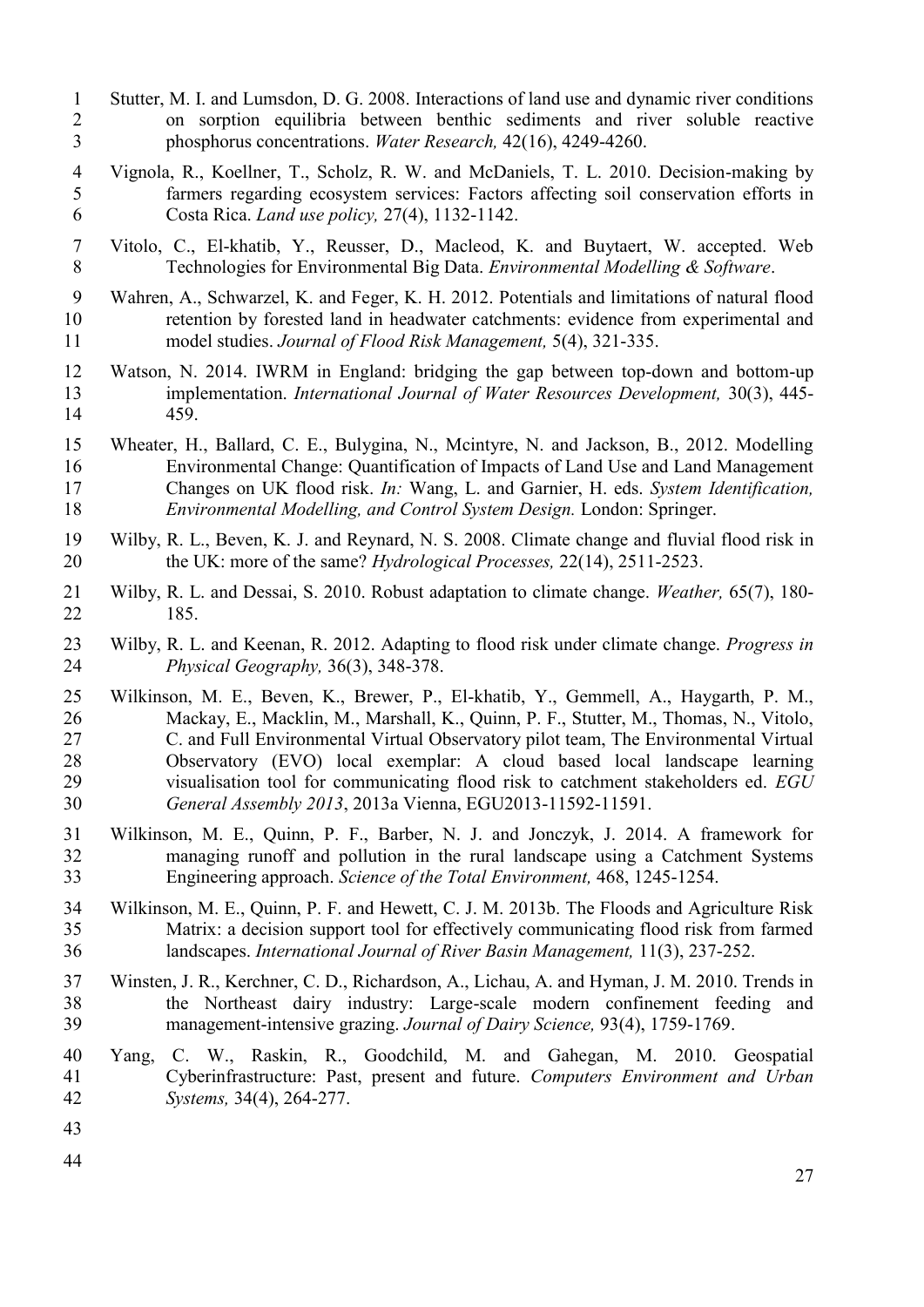- <span id="page-26-6"></span> Stutter, M. I. and Lumsdon, D. G. 2008. Interactions of land use and dynamic river conditions on sorption equilibria between benthic sediments and river soluble reactive phosphorus concentrations. *Water Research,* 42(16), 4249-4260.
- <span id="page-26-3"></span> Vignola, R., Koellner, T., Scholz, R. W. and McDaniels, T. L. 2010. Decision-making by farmers regarding ecosystem services: Factors affecting soil conservation efforts in Costa Rica. *Land use policy,* 27(4), 1132-1142.
- <span id="page-26-8"></span> Vitolo, C., El-khatib, Y., Reusser, D., Macleod, K. and Buytaert, W. accepted. Web Technologies for Environmental Big Data. *Environmental Modelling & Software*.
- <span id="page-26-9"></span> Wahren, A., Schwarzel, K. and Feger, K. H. 2012. Potentials and limitations of natural flood retention by forested land in headwater catchments: evidence from experimental and model studies. *Journal of Flood Risk Management,* 5(4), 321-335.
- <span id="page-26-10"></span> Watson, N. 2014. IWRM in England: bridging the gap between top-down and bottom-up implementation. *International Journal of Water Resources Development,* 30(3), 445- 459.
- Wheater, H., Ballard, C. E., Bulygina, N., Mcintyre, N. and Jackson, B., 2012. Modelling Environmental Change: Quantification of Impacts of Land Use and Land Management Changes on UK flood risk. *In:* Wang, L. and Garnier, H. eds. *System Identification, Environmental Modelling, and Control System Design.* London: Springer.
- <span id="page-26-1"></span> Wilby, R. L., Beven, K. J. and Reynard, N. S. 2008. Climate change and fluvial flood risk in the UK: more of the same? *Hydrological Processes,* 22(14), 2511-2523.
- Wilby, R. L. and Dessai, S. 2010. Robust adaptation to climate change. *Weather,* 65(7), 180- 185.
- <span id="page-26-0"></span> Wilby, R. L. and Keenan, R. 2012. Adapting to flood risk under climate change. *Progress in Physical Geography,* 36(3), 348-378.
- <span id="page-26-7"></span> Wilkinson, M. E., Beven, K., Brewer, P., El-khatib, Y., Gemmell, A., Haygarth, P. M., Mackay, E., Macklin, M., Marshall, K., Quinn, P. F., Stutter, M., Thomas, N., Vitolo, C. and Full Environmental Virtual Observatory pilot team, The Environmental Virtual Observatory (EVO) local exemplar: A cloud based local landscape learning visualisation tool for communicating flood risk to catchment stakeholders ed. *EGU General Assembly 2013*, 2013a Vienna, EGU2013-11592-11591.
- Wilkinson, M. E., Quinn, P. F., Barber, N. J. and Jonczyk, J. 2014. A framework for managing runoff and pollution in the rural landscape using a Catchment Systems Engineering approach. *Science of the Total Environment,* 468, 1245-1254.
- <span id="page-26-2"></span> Wilkinson, M. E., Quinn, P. F. and Hewett, C. J. M. 2013b. The Floods and Agriculture Risk Matrix: a decision support tool for effectively communicating flood risk from farmed landscapes. *International Journal of River Basin Management,* 11(3), 237-252.
- <span id="page-26-4"></span> Winsten, J. R., Kerchner, C. D., Richardson, A., Lichau, A. and Hyman, J. M. 2010. Trends in the Northeast dairy industry: Large-scale modern confinement feeding and management-intensive grazing. *Journal of Dairy Science,* 93(4), 1759-1769.
- <span id="page-26-5"></span> Yang, C. W., Raskin, R., Goodchild, M. and Gahegan, M. 2010. Geospatial Cyberinfrastructure: Past, present and future. *Computers Environment and Urban Systems,* 34(4), 264-277.
- 
-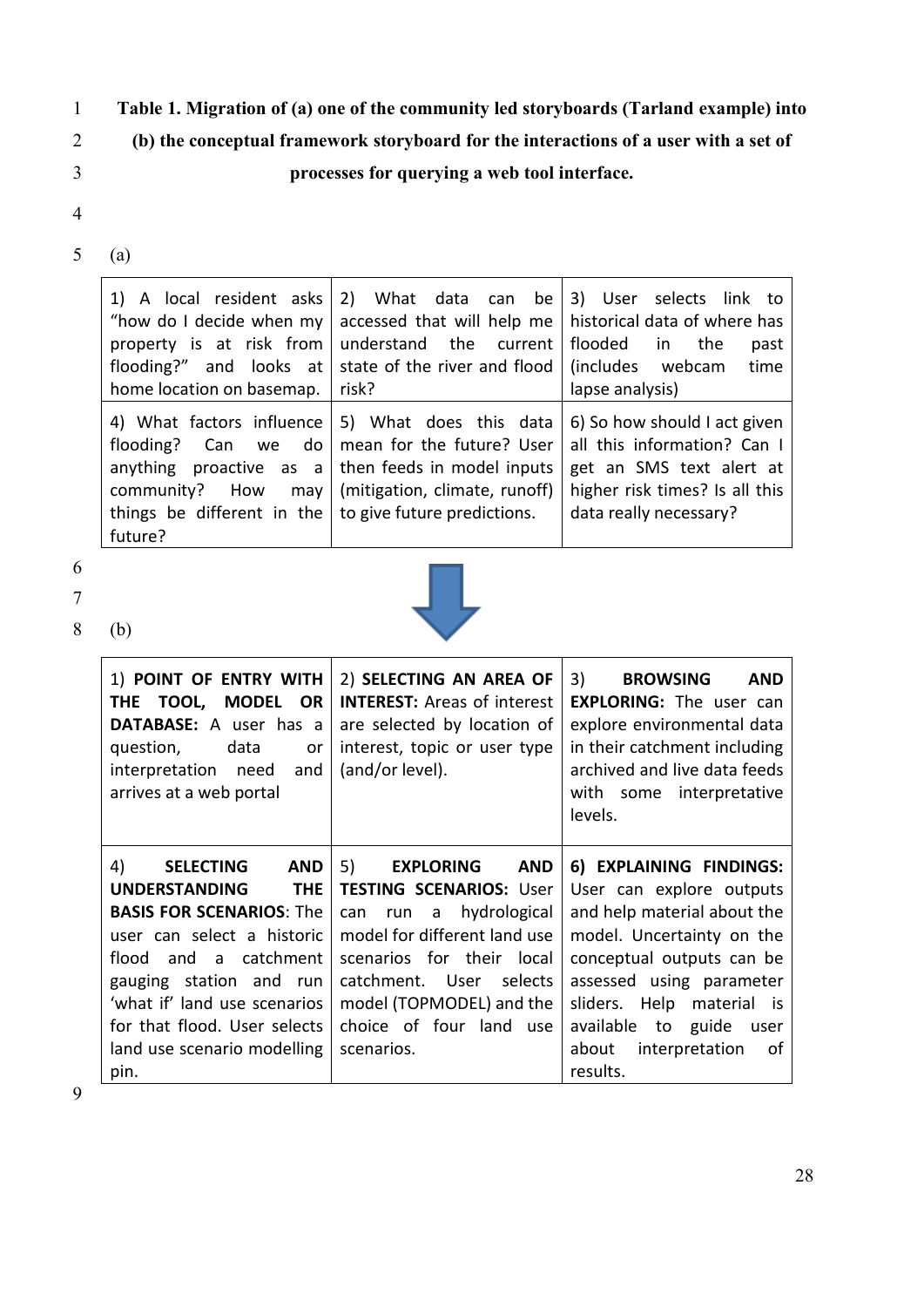# 1 **Table 1. Migration of (a) one of the community led storyboards (Tarland example) into**

2 **(b) the conceptual framework storyboard for the interactions of a user with a set of** 

# 3 **processes for querying a web tool interface.**

- 4
- 5 (a)

| home location on basemap.   risk?                                         | 1) A local resident asks 2) What data can be 3) User selects link to<br>"how do I decide when my accessed that will help me   historical data of where has<br>property is at risk from understand the current<br>flooding?" and looks at state of the river and flood $\int$ (includes webcam | flooded in the<br>past<br>time<br>lapse analysis)                                                                                                   |
|---------------------------------------------------------------------------|-----------------------------------------------------------------------------------------------------------------------------------------------------------------------------------------------------------------------------------------------------------------------------------------------|-----------------------------------------------------------------------------------------------------------------------------------------------------|
| things be different in the $\vert$ to give future predictions.<br>future? | 4) What factors influence   5) What does this data<br>flooding? Can we do   mean for the future? User<br>anything proactive as $a \mid$ then feeds in model inputs<br>community? How may   (mitigation, climate, runoff)                                                                      | 6) So how should I act given<br>all this information? Can I<br>get an SMS text alert at<br>higher risk times? Is all this<br>data really necessary? |

- 6
- 7

8 (b)



| 1) POINT OF ENTRY WITH<br>TOOL,<br><b>MODEL</b><br>OR.<br><b>THE</b><br>DATABASE: A user has a<br>data<br>question,<br>or<br>interpretation need<br>and<br>arrives at a web portal                                                                                 | 2) SELECTING AN AREA OF<br><b>INTEREST:</b> Areas of interest<br>are selected by location of<br>interest, topic or user type<br>(and/or level).                                                                                                          | 3)<br><b>BROWSING</b><br><b>AND</b><br><b>EXPLORING:</b> The user can<br>explore environmental data<br>in their catchment including<br>archived and live data feeds<br>with some interpretative<br>levels.                             |
|--------------------------------------------------------------------------------------------------------------------------------------------------------------------------------------------------------------------------------------------------------------------|----------------------------------------------------------------------------------------------------------------------------------------------------------------------------------------------------------------------------------------------------------|----------------------------------------------------------------------------------------------------------------------------------------------------------------------------------------------------------------------------------------|
| 4)<br><b>SELECTING</b><br><b>AND</b><br><b>UNDERSTANDING</b><br><b>THE</b><br><b>BASIS FOR SCENARIOS: The</b><br>user can select a historic<br>and a catchment<br>flood<br>gauging station and run<br>'what if' land use scenarios<br>for that flood. User selects | 5)<br><b>EXPLORING</b><br><b>AND</b><br><b>TESTING SCENARIOS: User</b><br>hydrological<br>can<br>run a<br>model for different land use<br>scenarios for their local<br>catchment. User<br>selects<br>model (TOPMODEL) and the<br>choice of four land use | 6) EXPLAINING FINDINGS:<br>User can explore outputs<br>and help material about the<br>model. Uncertainty on the<br>conceptual outputs can be<br>assessed using parameter<br>Help material is<br>sliders.<br>available to guide<br>user |
| land use scenario modelling<br>pin.                                                                                                                                                                                                                                | scenarios.                                                                                                                                                                                                                                               | about<br>interpretation<br>οf<br>results.                                                                                                                                                                                              |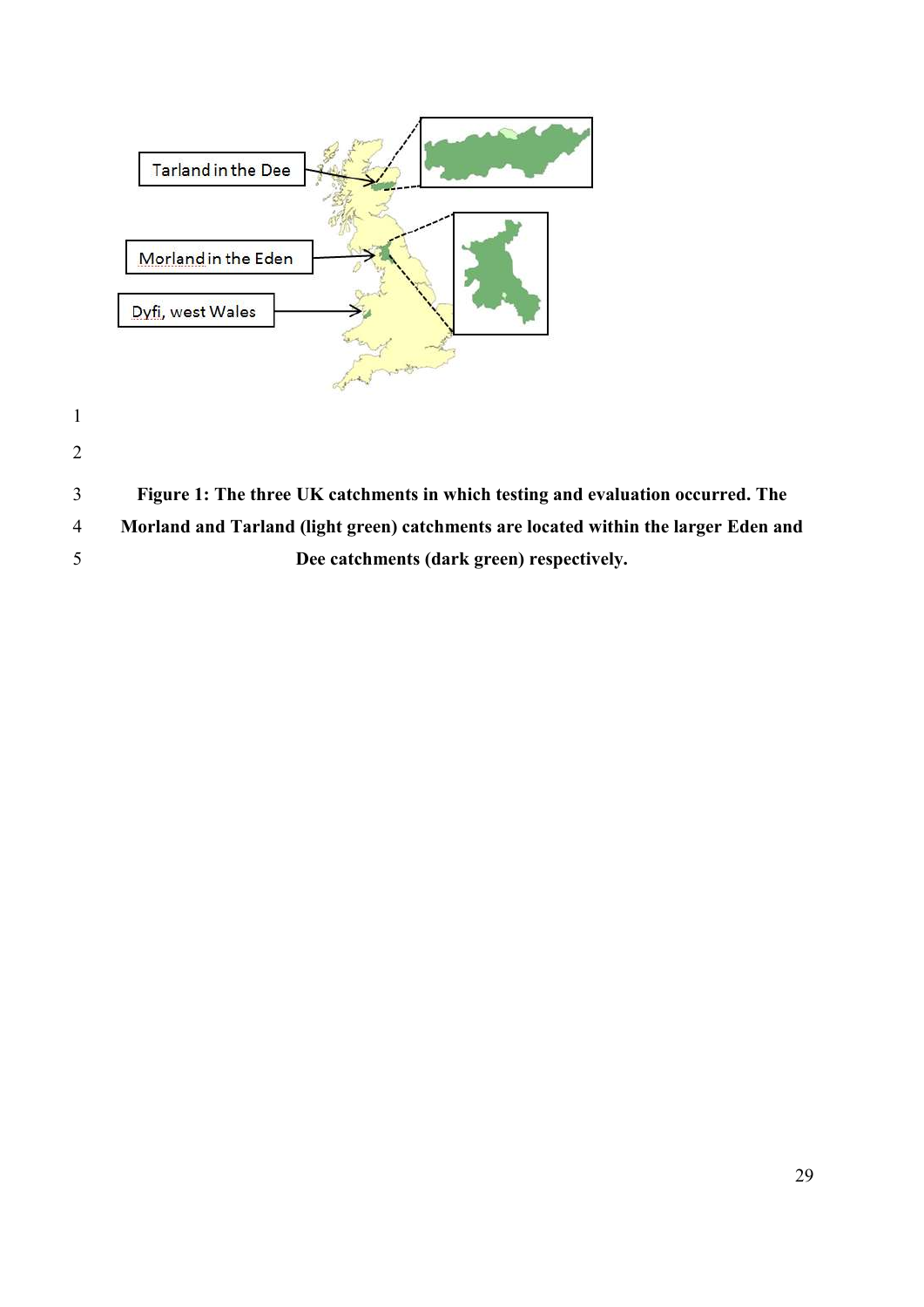

- 
- 

 **Figure 1: The three UK catchments in which testing and evaluation occurred. The Morland and Tarland (light green) catchments are located within the larger Eden and Dee catchments (dark green) respectively.**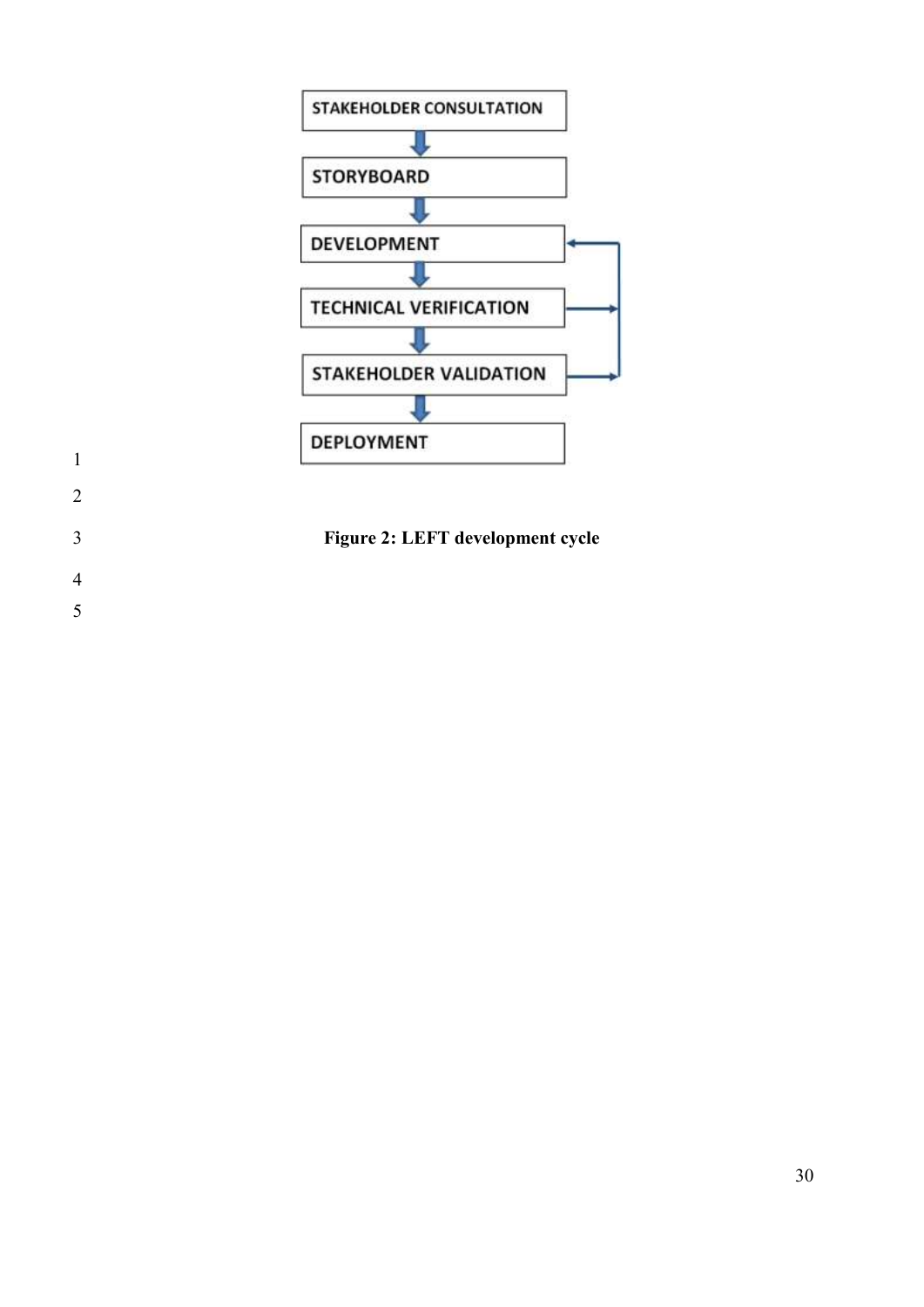

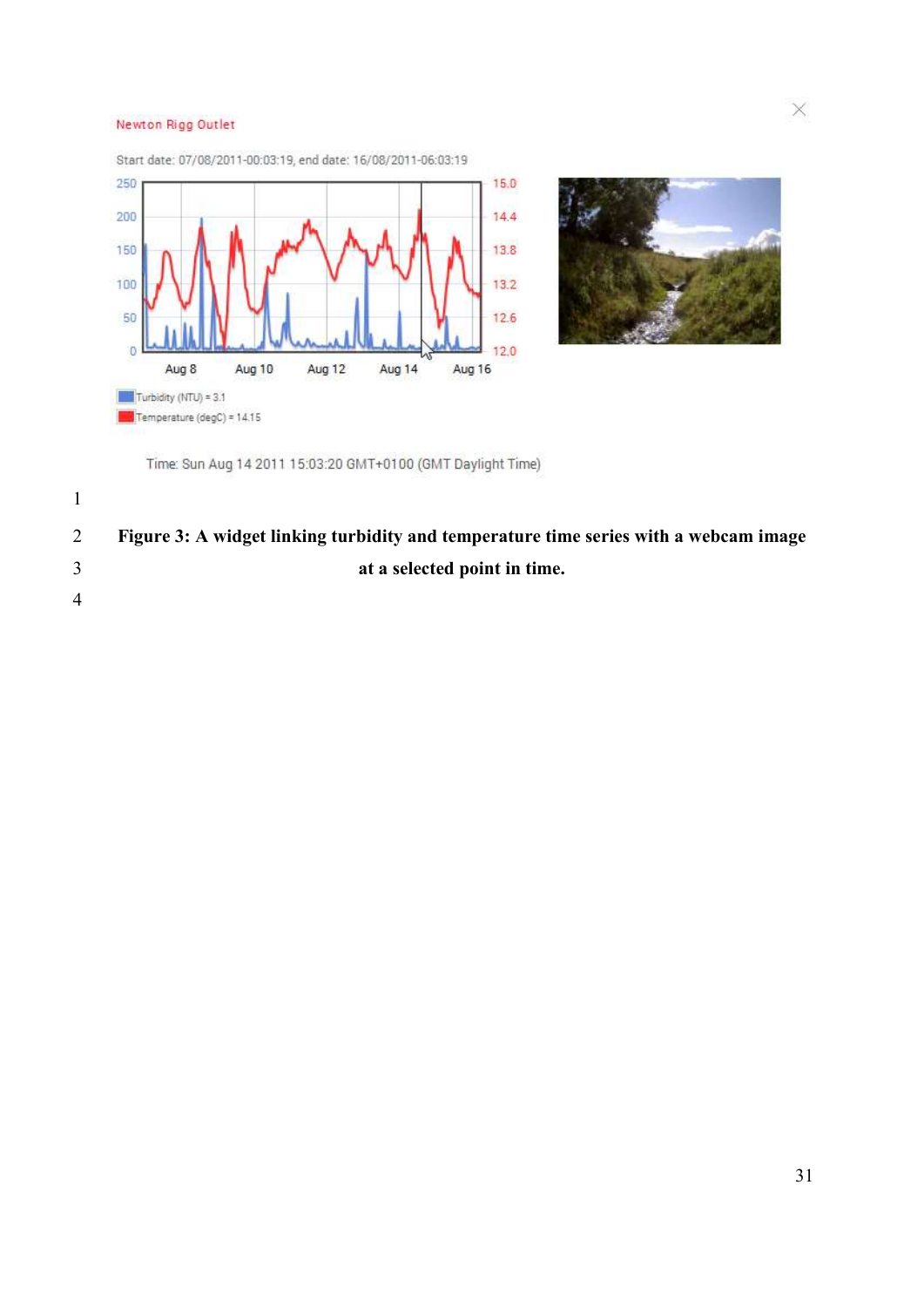#### Newton Rigg Outlet





 $\times$ 

Time: Sun Aug 14 2011 15:03:20 GMT+0100 (GMT Daylight Time)

 **Figure 3: A widget linking turbidity and temperature time series with a webcam image at a selected point in time.**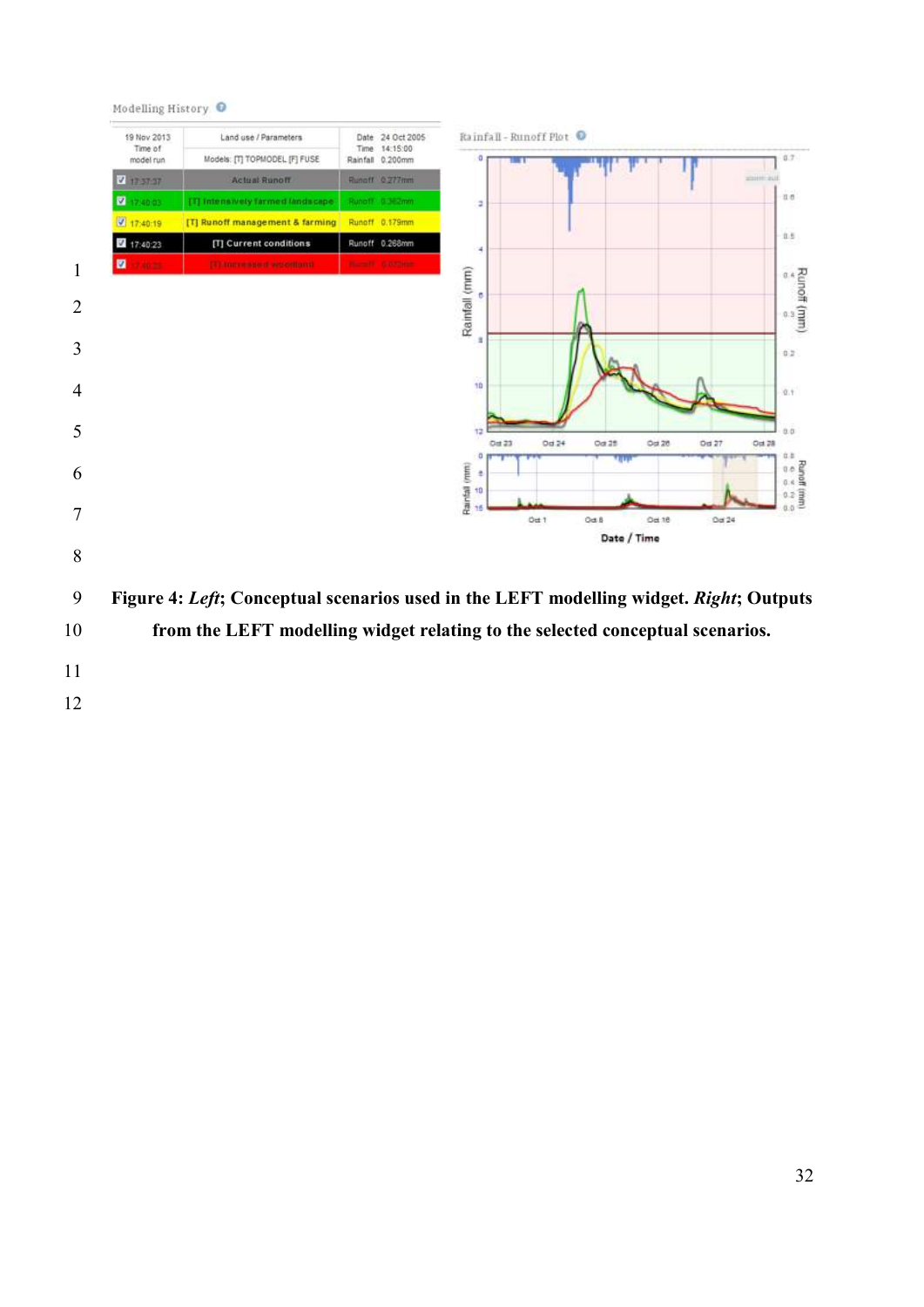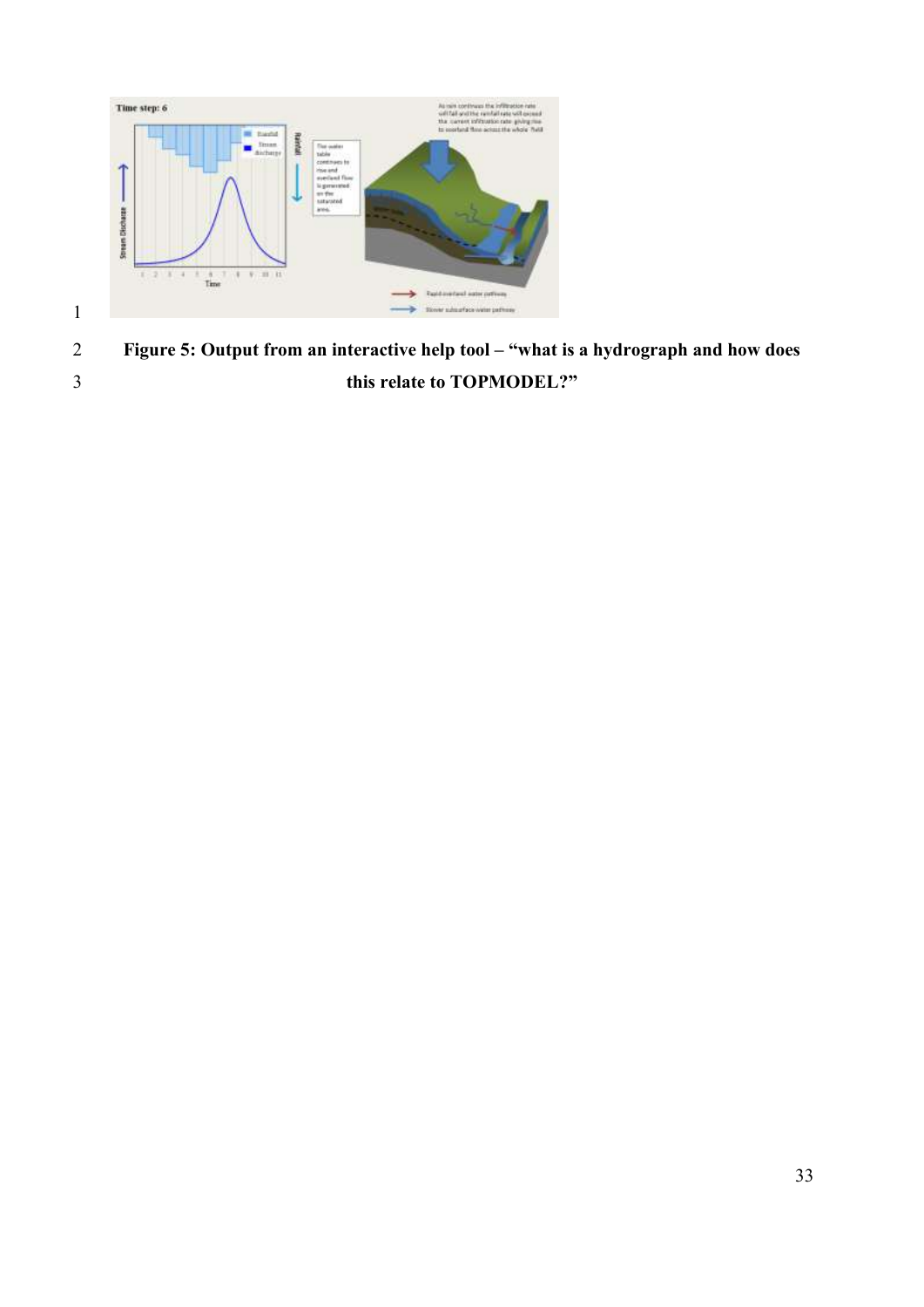

 **Figure 5: Output from an interactive help tool – "what is a hydrograph and how does this relate to TOPMODEL?"**